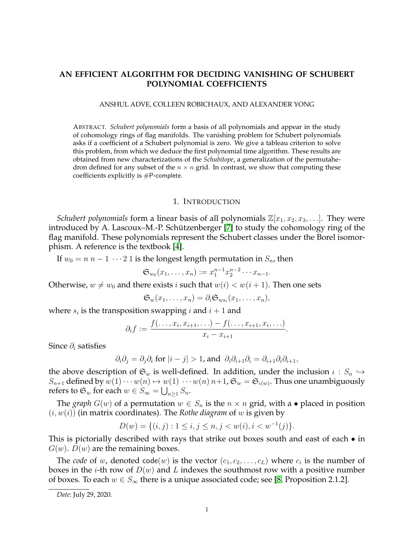# **AN EFFICIENT ALGORITHM FOR DECIDING VANISHING OF SCHUBERT POLYNOMIAL COEFFICIENTS**

#### ANSHUL ADVE, COLLEEN ROBICHAUX, AND ALEXANDER YONG

ABSTRACT. *Schubert polynomials* form a basis of all polynomials and appear in the study of cohomology rings of flag manifolds. The vanishing problem for Schubert polynomials asks if a coefficient of a Schubert polynomial is zero. We give a tableau criterion to solve this problem, from which we deduce the first polynomial time algorithm. These results are obtained from new characterizations of the *Schubitope*, a generalization of the permutahedron defined for any subset of the  $n \times n$  grid. In contrast, we show that computing these coefficients explicitly is #P-complete.

### 1. INTRODUCTION

<span id="page-0-0"></span>*Schubert polynomials* form a linear basis of all polynomials  $\mathbb{Z}[x_1, x_2, x_3, \ldots]$ . They were introduced by A. Lascoux–M.-P. Schützenberger  $[7]$  to study the cohomology ring of the flag manifold. These polynomials represent the Schubert classes under the Borel isomorphism. A reference is the textbook [\[4\]](#page-28-1).

If  $w_0 = n n - 1 \cdots 2 1$  is the longest length permutation in  $S_n$ , then

$$
\mathfrak{S}_{w_0}(x_1,\ldots,x_n):=x_1^{n-1}x_2^{n-2}\cdots x_{n-1}.
$$

Otherwise,  $w \neq w_0$  and there exists i such that  $w(i) < w(i + 1)$ . Then one sets

$$
\mathfrak{S}_w(x_1,\ldots,x_n)=\partial_i\mathfrak{S}_{ws_i}(x_1,\ldots,x_n),
$$

where  $s_i$  is the transposition swapping i and  $i + 1$  and

$$
\partial_i f := \frac{f(\ldots, x_i, x_{i+1}, \ldots) - f(\ldots, x_{i+1}, x_i, \ldots)}{x_i - x_{i+1}}.
$$

Since  $\partial_i$  satisfies

$$
\partial_i \partial_j = \partial_j \partial_i
$$
 for  $|i - j| > 1$ , and  $\partial_i \partial_{i+1} \partial_i = \partial_{i+1} \partial_i \partial_{i+1}$ ,

the above description of  $\mathfrak{S}_w$  is well-defined. In addition, under the inclusion  $\iota : S_n \hookrightarrow$  $S_{n+1}$  defined by  $w(1)\cdots w(n) \mapsto w(1)\cdots w(n)$   $n+1$ ,  $\mathfrak{S}_w = \mathfrak{S}_{\iota(w)}$ . Thus one unambiguously refers to  $\mathfrak{S}_w$  for each  $w \in S_{\infty} = \bigcup_{n \geq 1} S_n$ .

The *graph*  $G(w)$  of a permutation  $w \in S_n$  is the  $n \times n$  grid, with a • placed in position  $(i, w(i))$  (in matrix coordinates). The *Rothe diagram* of w is given by

$$
D(w) = \{(i, j) : 1 \le i, j \le n, j < w(i), i < w^{-1}(j)\}.
$$

This is pictorially described with rays that strike out boxes south and east of each  $\bullet$  in  $G(w)$ .  $D(w)$  are the remaining boxes.

The *code* of w, denoted code $(w)$  is the vector  $(c_1, c_2, \ldots, c_L)$  where  $c_i$  is the number of boxes in the *i*-th row of  $D(w)$  and L indexes the southmost row with a positive number of boxes. To each  $w \in S_{\infty}$  there is a unique associated code; see [\[8,](#page-28-2) Proposition 2.1.2].

*Date*: July 29, 2020.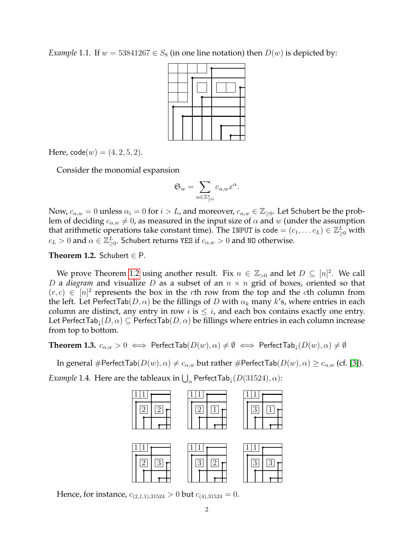<span id="page-1-2"></span>*Example* 1.1. If  $w = 53841267 \in S_8$  (in one line notation) then  $D(w)$  is depicted by:



Here,  $\text{code}(w) = (4, 2, 5, 2)$ .

Consider the monomial expansion

$$
\mathfrak{S}_w = \sum_{\alpha \in \mathbb{Z}_{\geq 0}^n} c_{\alpha,w} x^{\alpha}.
$$

Now,  $c_{\alpha,w} = 0$  unless  $\alpha_i = 0$  for  $i > L$ , and moreover,  $c_{\alpha,w} \in \mathbb{Z}_{\geq 0}$ . Let Schubert be the problem of deciding  $c_{\alpha,w} \neq 0$ , as measured in the input size of  $\alpha$  and w (under the assumption that arithmetic operations take constant time). The INPUT is code =  $(c_1, \ldots c_L) \in \mathbb{Z}_{\geq 0}^L$  with  $c_L > 0$  and  $\alpha \in \mathbb{Z}_{\geq 0}^L$ . Schubert returns YES if  $c_{\alpha,w} > 0$  and N0 otherwise.

<span id="page-1-0"></span>**Theorem 1.2.** Schubert  $\in$  P.

We prove Theorem [1.2](#page-1-0) using another result. Fix  $n \in \mathbb{Z}_{>0}$  and let  $D \subseteq [n]^2$ . We call D a *diagram* and visualize D as a subset of an  $n \times n$  grid of boxes, oriented so that  $(r, c) \in [n]^2$  represents the box in the rth row from the top and the cth column from the left. Let PerfectTab(D,  $\alpha$ ) be the fillings of D with  $\alpha_k$  many k's, where entries in each column are distinct, any entry in row i is  $\leq i$ , and each box contains exactly one entry. Let PerfectTab<sub>↓</sub> $(D, \alpha) \subseteq$  PerfectTab $(D, \alpha)$  be fillings where entries in each column increase from top to bottom.

<span id="page-1-1"></span>**Theorem 1.3.**  $c_{\alpha,w} > 0 \iff$  Perfect Tab $(D(w), \alpha) \neq \emptyset \iff$  Perfect Tab<sub>1</sub> $(D(w), \alpha) \neq \emptyset$ 

In general #PerfectTab( $D(w), \alpha$ )  $\neq c_{\alpha,w}$  but rather #PerfectTab( $D(w), \alpha$ )  $\geq c_{\alpha,w}$  (cf. [\[3\]](#page-28-3)).

*Example* 1.4. Here are the tableaux in  $\bigcup_{\alpha}$  PerfectTab $_{\downarrow}(D(31524), \alpha)$ :



Hence, for instance,  $c_{(2,1,1),31524} > 0$  but  $c_{(4),31524} = 0$ .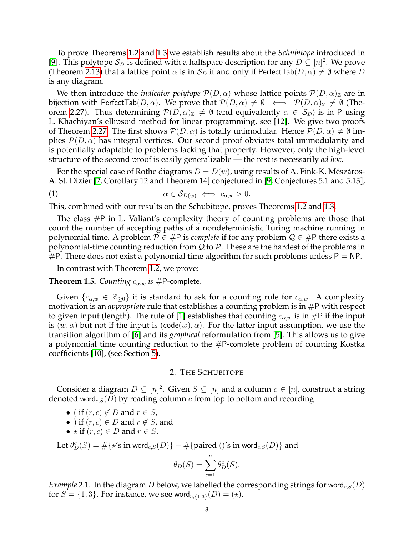To prove Theorems [1.2](#page-1-0) and [1.3](#page-1-1) we establish results about the *Schubitope* introduced in [\[9\]](#page-28-4). This polytope  $\mathcal{S}_D$  is defined with a halfspace description for any  $D \subseteq [n]^2$ . We prove (Theorem [2.13\)](#page-5-0) that a lattice point  $\alpha$  is in  $S_D$  if and only if PerfectTab $(D, \alpha) \neq \emptyset$  where D is any diagram.

We then introduce the *indicator polytope*  $\mathcal{P}(D,\alpha)$  whose lattice points  $\mathcal{P}(D,\alpha)_{\mathbb{Z}}$  are in bijection with PerfectTab $(D, \alpha)$ . We prove that  $\mathcal{P}(D, \alpha) \neq \emptyset \iff \mathcal{P}(D, \alpha)_{\mathbb{Z}} \neq \emptyset$  (The-orem [2.27\)](#page-12-0). Thus determining  $\mathcal{P}(D,\alpha)_{\mathbb{Z}}\neq\emptyset$  (and equivalently  $\alpha\in\mathcal{S}_D$ ) is in P using L. Khachiyan's ellipsoid method for linear programming, see [\[12\]](#page-29-0). We give two proofs of Theorem [2.27.](#page-12-0) The first shows  $\mathcal{P}(D,\alpha)$  is totally unimodular. Hence  $\mathcal{P}(D,\alpha)\neq \emptyset$  implies  $\mathcal{P}(D,\alpha)$  has integral vertices. Our second proof obviates total unimodularity and is potentially adaptable to problems lacking that property. However, only the high-level structure of the second proof is easily generalizable — the rest is necessarily *ad hoc*.

For the special case of Rothe diagrams  $D = D(w)$ , using results of A. Fink-K. Mészáros-A. St. Dizier [\[2,](#page-28-5) Corollary 12 and Theorem 14] conjectured in [\[9,](#page-28-4) Conjectures 5.1 and 5.13],

<span id="page-2-1"></span>
$$
\alpha \in \mathcal{S}_{D(w)} \iff c_{\alpha,w} > 0.
$$

This, combined with our results on the Schubitope, proves Theorems [1.2](#page-1-0) and [1.3.](#page-1-1)

The class  $\#P$  in L. Valiant's complexity theory of counting problems are those that count the number of accepting paths of a nondeterministic Turing machine running in polynomial time. A problem  $P \in \mathcal{H}$  is *complete* if for any problem  $\mathcal{Q} \in \mathcal{H}$  there exists a polynomial-time counting reduction from  $\mathcal Q$  to  $\mathcal P$ . These are the hardest of the problems in  $#P$ . There does not exist a polynomial time algorithm for such problems unless  $P = NP$ .

In contrast with Theorem [1.2,](#page-1-0) we prove:

<span id="page-2-2"></span>**Theorem 1.5.** *Counting*  $c_{\alpha,w}$  *is* #P-complete.

Given  $\{c_{\alpha,w} \in \mathbb{Z}_{\geq 0}\}$  it is standard to ask for a counting rule for  $c_{\alpha,w}$ . A complexity motivation is an *appropriate* rule that establishes a counting problem is in #P with respect to given input (length). The rule of [\[1\]](#page-28-6) establishes that counting  $c_{\alpha,w}$  is in #P if the input is  $(w, \alpha)$  but not if the input is  $(code(w), \alpha)$ . For the latter input assumption, we use the transition algorithm of [\[6\]](#page-28-7) and its *graphical* reformulation from [\[5\]](#page-28-8). This allows us to give a polynomial time counting reduction to the  $#P$ -complete problem of counting Kostka coefficients [\[10\]](#page-28-9), (see Section [5\)](#page-21-0).

# 2. THE SCHUBITOPE

Consider a diagram  $D \subseteq [n]^2$ . Given  $S \subseteq [n]$  and a column  $c \in [n]$ , construct a string denoted word<sub>c,S</sub>(D) by reading column c from top to bottom and recording

- ( if  $(r, c) \notin D$  and  $r \in S$ ,
- ) if  $(r, c) \in D$  and  $r \notin S$ , and
- $\star$  if  $(r, c) \in D$  and  $r \in S$ .

Let  $\theta_D^c(S) = \#\{ \star \text{'s in word}_{c,S}(D) \} + \#\{ \text{paired } () \text{'s in word}_{c,S}(D) \}$  and

$$
\theta_D(S) = \sum_{c=1}^n \theta_D^c(S).
$$

<span id="page-2-0"></span>*Example* 2.1. In the diagram *D* below, we labelled the corresponding strings for word<sub>c,  $S(D)$ </sub> for  $S = \{1, 3\}$ . For instance, we see word<sub>5, $\{1,3\}(D) = (*)$ .</sub>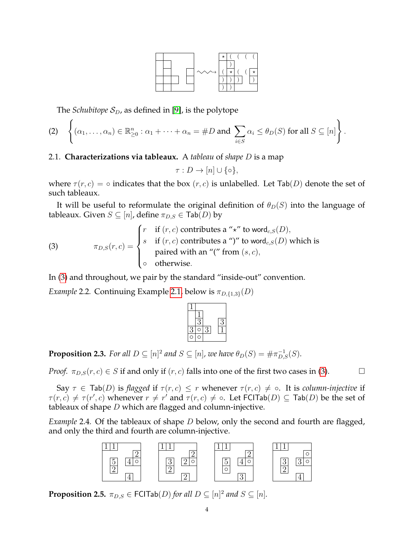

The *Schubitope*  $S_D$ , as defined in [\[9\]](#page-28-4), is the polytope

<span id="page-3-2"></span>
$$
\text{(2)} \quad \left\{ (\alpha_1, \ldots, \alpha_n) \in \mathbb{R}^n_{\geq 0} : \alpha_1 + \cdots + \alpha_n = \#D \text{ and } \sum_{i \in S} \alpha_i \leq \theta_D(S) \text{ for all } S \subseteq [n] \right\}.
$$

# 2.1. **Characterizations via tableaux.** A *tableau* of *shape* D is a map

$$
\tau: D \to [n] \cup \{ \circ \},
$$

where  $\tau(r, c) = \circ$  indicates that the box  $(r, c)$  is unlabelled. Let Tab(D) denote the set of such tableaux.

It will be useful to reformulate the original definition of  $\theta_D(S)$  into the language of tableaux. Given  $S \subseteq [n]$ , define  $\pi_{D,S} \in \text{Tab}(D)$  by

<span id="page-3-0"></span>(3) 
$$
\pi_{D,S}(r,c) = \begin{cases} r & \text{if } (r,c) \text{ contributes a " $\star$ " to word<sub>c,S</sub>(D),  
if  $(r,c)$  contributes a " $)$ " to word<sub>c,S</sub>(D) which is  
paired with an " $($ " from  $(s,c)$ ,  
otherwise.
$$

In [\(3\)](#page-3-0) and throughout, we pair by the standard "inside-out" convention.

*Example* 2.2. Continuing Example [2.1,](#page-2-0) below is  $\pi_{D,\{1,3\}}(D)$ 

<span id="page-3-3"></span>**Proposition 2.3.** For all  $D \subseteq [n]^2$  and  $S \subseteq [n]$ , we have  $\theta_D(S) = \#\pi_{D,S}^{-1}(S)$ .

*Proof.*  $\pi_{D,S}(r, c) \in S$  if and only if  $(r, c)$  falls into one of the first two cases in [\(3\)](#page-3-0).

Say  $\tau \in \text{Tab}(D)$  is *flagged* if  $\tau(r,c) \leq r$  whenever  $\tau(r,c) \neq \infty$ . It is *column-injective* if  $\tau(r,c) \neq \tau(r',c)$  whenever  $r \neq r'$  and  $\tau(r,c) \neq \circ$ . Let FCITab $(D) \subseteq \textsf{Tab}(D)$  be the set of tableaux of shape  $D$  which are flagged and column-injective.

*Example* 2.4*.* Of the tableaux of shape D below, only the second and fourth are flagged, and only the third and fourth are column-injective.



<span id="page-3-1"></span>**Proposition 2.5.**  $\pi_{D,S} \in \textsf{FCITab}(D)$  for all  $D \subseteq [n]^2$  and  $S \subseteq [n]$ .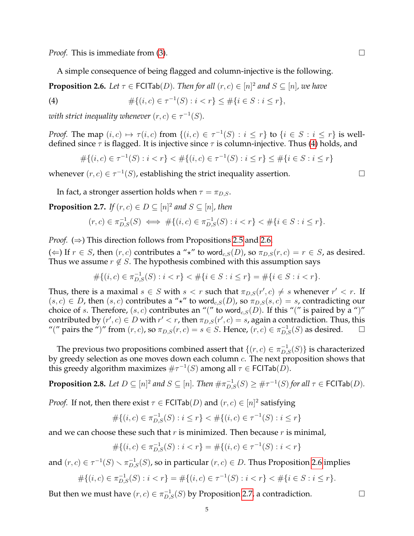*Proof.* This is immediate from [\(3\)](#page-3-0). □

A simple consequence of being flagged and column-injective is the following.

<span id="page-4-1"></span>**Proposition 2.6.** Let  $\tau \in \textsf{FCITab}(D)$ . Then for all  $(r, c) \in [n]^2$  and  $S \subseteq [n]$ , we have

<span id="page-4-0"></span>(4) 
$$
\#\{(i,c)\in \tau^{-1}(S): i < r\} \leq \#\{i \in S: i \leq r\},\
$$

with strict inequality whenever  $(r, c) \in \tau^{-1}(S)$ .

*Proof.* The map  $(i, c) \mapsto \tau(i, c)$  from  $\{(i, c) \in \tau^{-1}(S) : i \leq r\}$  to  $\{i \in S : i \leq r\}$  is welldefined since  $\tau$  is flagged. It is injective since  $\tau$  is column-injective. Thus [\(4\)](#page-4-0) holds, and

 $\#\{(i,c)\in \tau^{-1}(S): i < r\} < \#\{(i,c)\in \tau^{-1}(S): i \leq r\} \leq \#\{i\in S: i \leq r\}$ 

whenever  $(r, c) \in \tau^{-1}(S)$ , establishing the strict inequality assertion.

In fact, a stronger assertion holds when  $\tau = \pi_{D,S}$ .

<span id="page-4-2"></span>**Proposition 2.7.** *If*  $(r, c) \in D \subseteq [n]^2$  and  $S \subseteq [n]$ , then

$$
(r, c) \in \pi_{D,S}^{-1}(S) \iff \# \{ (i, c) \in \pi_{D,S}^{-1}(S) : i < r \} < \# \{ i \in S : i \leq r \}.
$$

*Proof.* (⇒) This direction follows from Propositions [2.5](#page-3-1) and [2.6.](#page-4-1)

(←) If  $r \in S$ , then  $(r, c)$  contributes a " $\star$ " to word<sub>c,S</sub>(D), so  $\pi_{D,S}(r, c) = r \in S$ , as desired. Thus we assume  $r \notin S$ . The hypothesis combined with this assumption says

$$
\#\{(i,c)\in \pi_{D,S}^{-1}(S): i < r\} < \#\{i\in S: i \leq r\} = \#\{i\in S: i < r\}.
$$

Thus, there is a maximal  $s \in S$  with  $s < r$  such that  $\pi_{D,S}(r', c) \neq s$  whenever  $r' < r$ . If  $(s, c) \in D$ , then  $(s, c)$  contributes a "\*" to word<sub>c,S</sub> $(D)$ , so  $\pi_{D,S}(s, c) = s$ , contradicting our choice of s. Therefore,  $(s, c)$  contributes an "(" to word<sub>c,S</sub> $(D)$ . If this "(" is paired by a ")" contributed by  $(r', c) \in D$  with  $r' < r$ , then  $\pi_{D,S}(r', c) = s$ , again a contradiction. Thus, this "(" pairs the ")" from  $(r, c)$ , so  $\pi_{D,S}(r, c) = s \in S$ . Hence,  $(r, c) \in \pi_{D,S}^{-1}(S)$  as desired.  $\Box$ 

The previous two propositions combined assert that  $\{(r, c) \in \pi_{D,S}^{-1}(S)\}$  is characterized by greedy selection as one moves down each column c. The next proposition shows that this greedy algorithm maximizes  $\#\tau^{-1}(S)$  among all  $\tau \in \mathsf{FCITab}(D)$ .

<span id="page-4-3"></span>**Proposition 2.8.** Let  $D \subseteq [n]^2$  and  $S \subseteq [n]$ . Then  $\#\pi_{D,S}^{-1}(S) \geq \#\tau^{-1}(S)$  for all  $\tau \in {\sf FCITab}(D)$ .

*Proof.* If not, then there exist  $\tau \in \text{FCITab}(D)$  and  $(r, c) \in [n]^2$  satisfying

$$
\#\{(i,c)\in\pi_{D,S}^{-1}(S):i\leq r\}<\#\{(i,c)\in\tau^{-1}(S):i\leq r\}
$$

and we can choose these such that  $r$  is minimized. Then because  $r$  is minimal,

$$
\#\{(i,c)\in \pi_{D,S}^{-1}(S) : i < r\} = \#\{(i,c)\in \tau^{-1}(S) : i < r\}
$$

and  $(r, c) \in \tau^{-1}(S) \smallsetminus \pi_{D,S}^{-1}(S)$ , so in particular  $(r, c) \in D$ . Thus Proposition [2.6](#page-4-1) implies

$$
\#\{(i,c)\in \pi_{D,S}^{-1}(S): i < r\} = \#\{(i,c)\in \tau^{-1}(S): i < r\} < \#\{i\in S: i \leq r\}.
$$

But then we must have  $(r, c) \in \pi_{D,S}^{-1}(S)$  by Proposition [2.7,](#page-4-2) a contradiction.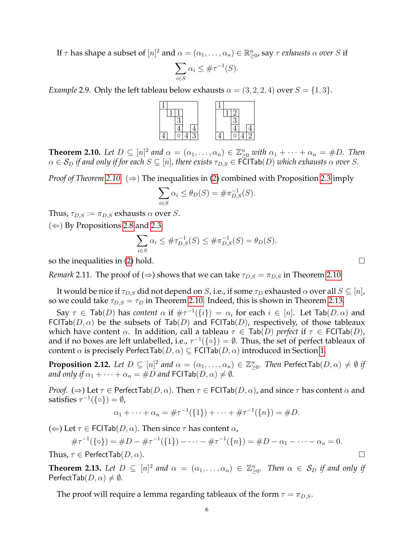If  $\tau$  has shape a subset of  $[n]^2$  and  $\alpha = (\alpha_1, \ldots, \alpha_n) \in \mathbb{R}_{\geq 0}^n$ , say  $\tau$  *exhausts*  $\alpha$  *over*  $S$  if

$$
\sum_{i \in S} \alpha_i \leq \#\tau^{-1}(S).
$$

*Example* 2.9. Only the left tableau below exhausts  $\alpha = (3, 2, 2, 4)$  over  $S = \{1, 3\}$ .



<span id="page-5-1"></span>**Theorem 2.10.** Let  $D \subseteq [n]^2$  and  $\alpha = (\alpha_1, \dots, \alpha_n) \in \mathbb{Z}_{\geq 0}^n$  with  $\alpha_1 + \dots + \alpha_n = \#D$ . Then  $\alpha \in S_D$  *if and only if for each*  $S \subseteq [n]$ , there exists  $\tau_{D,S} \in \overline{FCITab}(D)$  which exhausts  $\alpha$  over S.

*Proof of Theorem [2.10.](#page-5-1)* (⇒) The inequalities in [\(2\)](#page-3-2) combined with Proposition [2.3](#page-3-3) imply

$$
\sum_{i \in S} \alpha_i \le \theta_D(S) = \#\pi_{D,S}^{-1}(S).
$$

Thus,  $\tau_{D,S} := \pi_{D,S}$  exhausts  $\alpha$  over S.

 $(\Leftarrow)$  By Propositions [2.8](#page-4-3) and [2.3,](#page-3-3)

$$
\sum_{i \in S} \alpha_i \leq \# \tau_{D,S}^{-1}(S) \leq \# \pi_{D,S}^{-1}(S) = \theta_D(S),
$$

so the inequalities in [\(2\)](#page-3-2) hold.  $\square$ 

<span id="page-5-3"></span>*Remark* 2.11. The proof of  $(\Rightarrow)$  shows that we can take  $\tau_{D,S} = \pi_{D,S}$  in Theorem [2.10.](#page-5-1)

It would be nice if  $\tau_{D,S}$  did not depend on S, i.e., if some  $\tau_D$  exhausted  $\alpha$  over all  $S \subseteq [n]$ , so we could take  $\tau_{D,S} = \tau_D$  in Theorem [2.10.](#page-5-1) Indeed, this is shown in Theorem [2.13.](#page-5-0)

Say  $\tau \in \textsf{Tab}(D)$  has *content*  $\alpha$  if  $\#\tau^{-1}(\{i\}) = \alpha_i$  for each  $i \in [n]$ . Let  $\textsf{Tab}(D, \alpha)$  and FCITab( $D, \alpha$ ) be the subsets of Tab( $D$ ) and FCITab( $D$ ), respectively, of those tableaux which have content  $\alpha$ . In addition, call a tableau  $\tau \in \text{Tab}(D)$  *perfect* if  $\tau \in \text{FCITab}(D)$ , and if no boxes are left unlabelled, i.e.,  $\tau^{-1}(\{\circ\}) = \emptyset$ . Thus, the set of perfect tableaux of content  $\alpha$  is precisely PerfectTab( $D, \alpha$ )  $\subseteq$  FCITab( $D, \alpha$ ) introduced in Section [1.](#page-0-0)

<span id="page-5-2"></span>**Proposition 2.12.** Let  $D \subseteq [n]^2$  and  $\alpha = (\alpha_1, \dots, \alpha_n) \in \mathbb{Z}_{\geq 0}^n$ . Then  $\mathsf{PerfectTab}(D, \alpha) \neq \emptyset$  if *and only if*  $\alpha_1 + \cdots + \alpha_n = \#D$  *and*  $FCITab(D, \alpha) \neq \emptyset$ *.* 

*Proof.* ( $\Rightarrow$ ) Let  $\tau \in$  Perfect Tab( $D, \alpha$ ). Then  $\tau \in$  FCITab( $D, \alpha$ ), and since  $\tau$  has content  $\alpha$  and satisfies  $\tau^{-1}(\{\circ\}) = \emptyset$ ,

$$
\alpha_1 + \cdots + \alpha_n = \# \tau^{-1}(\{1\}) + \cdots + \# \tau^{-1}(\{n\}) = \#D.
$$

( $\Leftarrow$ ) Let  $\tau \in$  FCITab( $D, \alpha$ ). Then since  $\tau$  has content  $\alpha$ ,

$$
\#\tau^{-1}(\{0\}) = \#D - \#\tau^{-1}(\{1\}) - \cdots - \#\tau^{-1}(\{n\}) = \#D - \alpha_1 - \cdots - \alpha_n = 0.
$$

Thus,  $\tau \in$  Perfect Tab $(D, \alpha)$ .

<span id="page-5-0"></span>**Theorem 2.13.** Let  $D \subseteq [n]^2$  and  $\alpha = (\alpha_1, \ldots, \alpha_n) \in \mathbb{Z}_{\geq 0}^n$ . Then  $\alpha \in S_D$  if and only if PerfectTab $(D, \alpha) \neq \emptyset$ .

The proof will require a lemma regarding tableaux of the form  $\tau = \pi_{D,S}$ .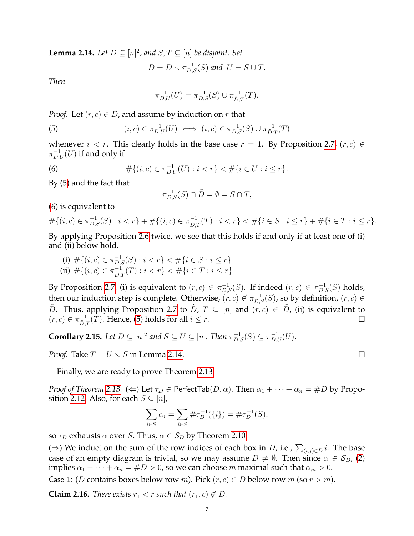<span id="page-6-2"></span>**Lemma 2.14.** Let  $D \subseteq [n]^2$ , and  $S, T \subseteq [n]$  be disjoint. Set

$$
\tilde{D} = D \setminus \pi_{D,S}^{-1}(S) \text{ and } U = S \cup T.
$$

*Then*

$$
\pi_{D,U}^{-1}(U) = \pi_{D,S}^{-1}(S) \cup \pi_{\tilde{D},T}^{-1}(T).
$$

*Proof.* Let  $(r, c) \in D$ , and assume by induction on r that

<span id="page-6-0"></span>(5) 
$$
(i, c) \in \pi_{D,U}^{-1}(U) \iff (i, c) \in \pi_{D,S}^{-1}(S) \cup \pi_{\tilde{D},T}^{-1}(T)
$$

whenever  $i < r$ . This clearly holds in the base case  $r = 1$ . By Proposition [2.7,](#page-4-2)  $(r, c) \in$  $\pi_{D,U}^{-1}(U)$  if and only if

<span id="page-6-1"></span>(6) 
$$
\#\{(i,c)\in \pi_{D,U}^{-1}(U): i
$$

By [\(5\)](#page-6-0) and the fact that

$$
\pi_{D,S}^{-1}(S) \cap \tilde{D} = \emptyset = S \cap T,
$$

[\(6\)](#page-6-1) is equivalent to

$$
\#\{(i,c)\in \pi_{D,S}^{-1}(S): i
$$

By applying Proposition [2.6](#page-4-1) twice, we see that this holds if and only if at least one of (i) and (ii) below hold.

(i) 
$$
\#\{(i,c) \in \pi_{D,S}^{-1}(S) : i < r\} < \#\{i \in S : i \le r\}
$$
  
\n(ii)  $\#\{(i,c) \in \pi_{\tilde{D},T}^{-1}(T) : i < r\} < \#\{i \in T : i \le r\}$ 

By Proposition [2.7,](#page-4-2) (i) is equivalent to  $(r, c) \in \pi_{D,S}^{-1}(S)$ . If indeed  $(r, c) \in \pi_{D,S}^{-1}(S)$  holds, then our induction step is complete. Otherwise,  $(r, c) \notin \pi_{D,S}^{-1}(S)$ , so by definition,  $(r, c) \in$ D. Thus, applying Proposition [2.7](#page-4-2) to  $\tilde{D}$ ,  $T \subseteq [n]$  and  $(r, c) \in \tilde{D}$ , (ii) is equivalent to  $(r, c) \in \pi_{\tilde{D}}^{-1}$  $\overline{D}_{\tilde{D},T}^{-1}(T)$ . Hence, [\(5\)](#page-6-0) holds for all  $i \leq r$ .

<span id="page-6-4"></span>**Corollary 2.15.** Let  $D \subseteq [n]^2$  and  $S \subseteq U \subseteq [n]$ . Then  $\pi_{D,S}^{-1}(S) \subseteq \pi_{D,U}^{-1}(U)$ .

*Proof.* Take  $T = U \setminus S$  in Lemma [2.14.](#page-6-2)

Finally, we are ready to prove Theorem [2.13.](#page-5-0)

*Proof of Theorem* [2.13.](#page-5-0)  $(\Leftarrow)$  Let  $\tau_D \in$  PerfectTab $(D, \alpha)$ . Then  $\alpha_1 + \cdots + \alpha_n = \#D$  by Propo-sition [2.12.](#page-5-2) Also, for each  $S \subseteq [n]$ ,

$$
\sum_{i \in S} \alpha_i = \sum_{i \in S} \# \tau_D^{-1}(\{i\}) = \# \tau_D^{-1}(S),
$$

so  $\tau_D$  exhausts  $\alpha$  over S. Thus,  $\alpha \in S_D$  by Theorem [2.10.](#page-5-1)

(⇒) We induct on the sum of the row indices of each box in *D*, i.e.,  $\sum_{(i,j)\in D} i$ . The base case of an empty diagram is trivial, so we may assume  $D \neq \emptyset$ . Then since  $\alpha \in S_D$ , [\(2\)](#page-3-2) implies  $\alpha_1 + \cdots + \alpha_n = \#D > 0$ , so we can choose m maximal such that  $\alpha_m > 0$ .

Case 1: (*D* contains boxes below row *m*). Pick  $(r, c) \in D$  below row *m* (so  $r > m$ ).

<span id="page-6-3"></span>**Claim 2.16.** *There exists*  $r_1 < r$  *such that*  $(r_1, c) \notin D$ *.*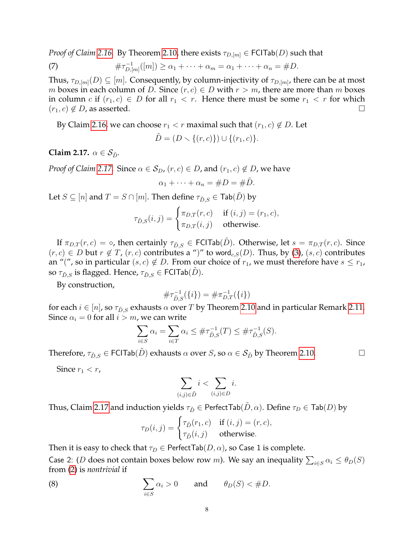*Proof of Claim* [2.16.](#page-6-3) By Theorem [2.10,](#page-5-1) there exists  $\tau_{D,[m]} \in$  FCITab(D) such that

(7) 
$$
\#\tau_{D,[m]}^{-1}([m]) \geq \alpha_1 + \cdots + \alpha_m = \alpha_1 + \cdots + \alpha_n = \#D.
$$

Thus,  $\tau_{D,[m]}(D)\subseteq [m].$  Consequently, by column-injectivity of  $\tau_{D,[m]}$ , there can be at most m boxes in each column of D. Since  $(r, c) \in D$  with  $r > m$ , there are more than m boxes in column c if  $(r_1, c) \in D$  for all  $r_1 < r$ . Hence there must be some  $r_1 < r$  for which  $(r_1, c) \notin D$ , as asserted.

By Claim [2.16,](#page-6-3) we can choose  $r_1 < r$  maximal such that  $(r_1, c) \notin D$ . Let

$$
\tilde{D} = (D \setminus \{(r, c)\}) \cup \{(r_1, c)\}.
$$

<span id="page-7-0"></span>**Claim 2.17.**  $\alpha \in S_{\tilde{D}}$ .

*Proof of Claim* [2.17.](#page-7-0) Since  $\alpha \in S_D$ ,  $(r, c) \in D$ , and  $(r_1, c) \notin D$ , we have

$$
\alpha_1 + \cdots + \alpha_n = \#D = \#\tilde{D}.
$$

Let  $S \subseteq [n]$  and  $T = S \cap [m]$ . Then define  $\tau_{\tilde{D},S} \in \text{Tab}(\tilde{D})$  by

$$
\tau_{\tilde{D},S}(i,j) = \begin{cases} \pi_{D,T}(r,c) & \text{if } (i,j) = (r_1,c), \\ \pi_{D,T}(i,j) & \text{otherwise.} \end{cases}
$$

If  $\pi_{D,T}(r,c) = \circ$ , then certainly  $\tau_{\tilde{D},S} \in \text{FCITab}(\tilde{D})$ . Otherwise, let  $s = \pi_{D,T}(r,c)$ . Since  $(r, c) \in D$  but  $r \notin T$ ,  $(r, c)$  contributes a ")" to word<sub>c,S</sub> $(D)$ . Thus, by [\(3\)](#page-3-0),  $(s, c)$  contributes an "(", so in particular  $(s, c) \notin D$ . From our choice of  $r_1$ , we must therefore have  $s \leq r_1$ , so  $\tau_{\tilde{D},S}$  is flagged. Hence,  $\tau_{\tilde{D},S} \in \textsf{FCITab}(\tilde{D})$ .

By construction,

$$
\#\tau_{\tilde{D},S}^{-1}(\{i\}) = \#\pi_{D,T}^{-1}(\{i\})
$$

for each  $i \in [n]$ , so  $\tau_{\tilde{D},S}$  exhausts  $\alpha$  over T by Theorem [2.10](#page-5-1) and in particular Remark [2.11.](#page-5-3) Since  $\alpha_i = 0$  for all  $i > m$ , we can write

$$
\sum_{i \in S} \alpha_i = \sum_{i \in T} \alpha_i \leq #\tau_{\tilde{D},S}^{-1}(T) \leq #\tau_{\tilde{D},S}^{-1}(S).
$$

Therefore,  $\tau_{\tilde{D},S} \in \text{FCITab}(\tilde{D})$  exhausts  $\alpha$  over S, so  $\alpha \in \mathcal{S}_{\tilde{D}}$  by Theorem [2.10.](#page-5-1)

Since  $r_1 < r$ ,

$$
\sum_{(i,j)\in\tilde{D}}i<\sum_{(i,j)\in D}i.
$$

Thus, Claim [2.17](#page-7-0) and induction yields  $\tau_{\tilde{D}} \in$  Perfect Tab $(D, \alpha)$ . Define  $\tau_D \in \text{Tab}(D)$  by

$$
\tau_D(i,j) = \begin{cases} \tau_{\tilde{D}}(r_1,c) & \text{if } (i,j) = (r,c), \\ \tau_{\tilde{D}}(i,j) & \text{otherwise.} \end{cases}
$$

Then it is easy to check that  $\tau_D \in$  PerfectTab $(D, \alpha)$ , so Case 1 is complete.

Case 2: (D does not contain boxes below row m). We say an inequality  $\sum_{i\in S}\alpha_i\leq \theta_D(S)$ from [\(2\)](#page-3-2) is *nontrivial* if

<span id="page-7-1"></span>(8) 
$$
\sum_{i \in S} \alpha_i > 0 \quad \text{and} \quad \theta_D(S) < \#D.
$$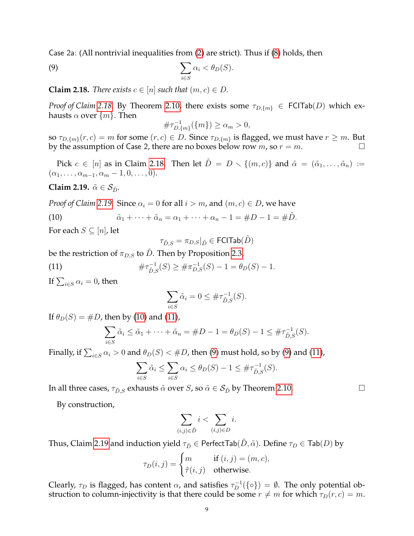Case 2a: (All nontrivial inequalities from [\(2\)](#page-3-2) are strict). Thus if [\(8\)](#page-7-1) holds, then

<span id="page-8-4"></span>(9) 
$$
\sum_{i \in S} \alpha_i < \theta_D(S).
$$

<span id="page-8-0"></span>**Claim 2.18.** *There exists*  $c \in [n]$  *such that*  $(m, c) \in D$ *.* 

*Proof of Claim* [2.18.](#page-8-0) By Theorem [2.10,](#page-5-1) there exists some  $\tau_{D,\{m\}} \in \text{FCITab}(D)$  which exhausts  $\alpha$  over  $\{m\}$ . Then

$$
\#\tau_{D,\{m\}}^{-1}(\{m\}) \ge \alpha_m > 0,
$$

so  $\tau_{D,\{m\}}(r,c) = m$  for some  $(r,c) \in D$ . Since  $\tau_{D,\{m\}}$  is flagged, we must have  $r \geq m$ . But by the assumption of Case 2, there are no boxes below row  $m$ , so  $r = m$ .

Pick  $c \in [n]$  as in Claim [2.18.](#page-8-0) Then let  $\tilde{D} = D \setminus \{(m, c)\}\$  and  $\tilde{\alpha} = (\tilde{\alpha}_1, \ldots, \tilde{\alpha}_n) :=$  $(\alpha_1, \ldots, \alpha_{m-1}, \alpha_m-1, 0, \ldots, 0).$ 

<span id="page-8-1"></span>**Claim 2.19.**  $\tilde{\alpha} \in \mathcal{S}_{\tilde{D}}$ .

*Proof of Claim* [2.19.](#page-8-1) Since  $\alpha_i = 0$  for all  $i > m$ , and  $(m, c) \in D$ , we have

<span id="page-8-2"></span>(10) 
$$
\tilde{\alpha}_1 + \cdots + \tilde{\alpha}_n = \alpha_1 + \cdots + \alpha_n - 1 = \#D - 1 = \#\tilde{D}.
$$

For each  $S \subseteq [n]$ , let

$$
\tau_{\tilde{D},S}=\pi_{D,S}|_{\tilde{D}}\in\mathsf{FCITab}(\tilde{D})
$$

be the restriction of  $\pi_{D,S}$  to D. Then by Proposition [2.3,](#page-3-3)

<span id="page-8-3"></span>(11) 
$$
\#\tau_{\tilde{D},S}^{-1}(S) \geq \#\pi_{D,S}^{-1}(S) - 1 = \theta_D(S) - 1.
$$

If  $\sum_{i\in S}\alpha_i=0$ , then

$$
\sum_{i \in S} \tilde{\alpha}_i = 0 \leq \# \tau_{\tilde{D},S}^{-1}(S).
$$

If  $\theta_D(S) = \#D$ , then by [\(10\)](#page-8-2) and [\(11\)](#page-8-3),

$$
\sum_{i \in S} \tilde{\alpha}_i \le \tilde{\alpha}_1 + \dots + \tilde{\alpha}_n = \#D - 1 = \theta_D(S) - 1 \le \# \tau_{\tilde{D},S}^{-1}(S).
$$

Finally, if  $\sum_{i\in S}\alpha_i>0$  and  $\theta_D(S)<\#D$ , then [\(9\)](#page-8-4) must hold, so by (9) and [\(11\)](#page-8-3),

$$
\sum_{i \in S} \tilde{\alpha}_i \le \sum_{i \in S} \alpha_i \le \theta_D(S) - 1 \le \# \tau_{\tilde{D},S}^{-1}(S).
$$

In all three cases,  $\tau_{\tilde{D},S}$  exhausts  $\tilde{\alpha}$  over S, so  $\tilde{\alpha} \in S_{\tilde{D}}$  by Theorem [2.10.](#page-5-1)

By construction,

$$
\sum_{(i,j)\in\tilde{D}}i<\sum_{(i,j)\in D}i.
$$

Thus, Claim [2.19](#page-8-1) and induction yield  $\tau_{\tilde{D}} \in$  PerfectTab $(\tilde{D}, \tilde{\alpha})$ . Define  $\tau_D \in \text{Tab}(D)$  by

$$
\tau_D(i,j) = \begin{cases} m & \text{if } (i,j) = (m,c), \\ \tilde{\tau}(i,j) & \text{otherwise.} \end{cases}
$$

Clearly,  $\tau_D$  is flagged, has content  $\alpha$ , and satisfies  $\tau_D^{-1}(\{\circ\}) = \emptyset$ . The only potential obstruction to column-injectivity is that there could be some  $r \neq m$  for which  $\tau_D(r, c) = m$ .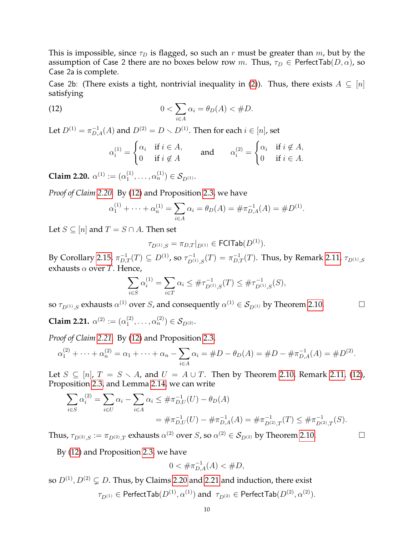This is impossible, since  $\tau_D$  is flagged, so such an r must be greater than m, but by the assumption of Case 2 there are no boxes below row m. Thus,  $\tau_D \in$  PerfectTab $(D, \alpha)$ , so Case 2a is complete.

Case 2b: (There exists a tight, nontrivial inequality in [\(2\)](#page-3-2)). Thus, there exists  $A \subseteq [n]$ satisfying

<span id="page-9-1"></span>(12) 
$$
0 < \sum_{i \in A} \alpha_i = \theta_D(A) < \#D.
$$

Let  $D^{(1)} = \pi_{D,A}^{-1}(A)$  and  $D^{(2)} = D \smallsetminus D^{(1)}.$  Then for each  $i \in [n]$ , set

$$
\alpha_i^{(1)} = \begin{cases} \alpha_i & \text{if } i \in A, \\ 0 & \text{if } i \notin A \end{cases} \quad \text{and} \quad \alpha_i^{(2)} = \begin{cases} \alpha_i & \text{if } i \notin A, \\ 0 & \text{if } i \in A. \end{cases}
$$

<span id="page-9-0"></span>**Claim 2.20.**  $\alpha^{(1)} := (\alpha_1^{(1)})$  $\alpha_1^{(1)}, \ldots, \alpha_n^{(1)}) \in \mathcal{S}_{D^{(1)}}.$ 

*Proof of Claim [2.20.](#page-9-0)* By [\(12\)](#page-9-1) and Proposition [2.3,](#page-3-3) we have

$$
\alpha_1^{(1)} + \dots + \alpha_n^{(1)} = \sum_{i \in A} \alpha_i = \theta_D(A) = \# \pi_{D,A}^{-1}(A) = \# D^{(1)}.
$$

Let  $S \subseteq [n]$  and  $T = S \cap A$ . Then set

$$
\tau_{D^{(1)},S} = \pi_{D,T}|_{D^{(1)}} \in \mathsf{FCITab}(D^{(1)}).
$$

By Corollary [2.15,](#page-6-4)  $\pi_{D,T}^{-1}(T)\subseteq D^{(1)}$ , so  $\tau_{D^{(1)},S}^{-1}(T)=\pi_{D,T}^{-1}(T).$  Thus, by Remark [2.11,](#page-5-3)  $\tau_{D^{(1)},S}$ exhausts  $\alpha$  over T. Hence,

$$
\sum_{i \in S} \alpha_i^{(1)} = \sum_{i \in T} \alpha_i \leq #\tau_{D^{(1)},S}^{-1}(T) \leq #\tau_{D^{(1)},S}^{-1}(S),
$$

so  $\tau_{D^{(1)},S}$  exhausts  $\alpha^{(1)}$  over S, and consequently  $\alpha^{(1)} \in S_{D^{(1)}}$  by Theorem [2.10.](#page-5-1)

<span id="page-9-2"></span>**Claim 2.21.**  $\alpha^{(2)} := (\alpha_1^{(2)})$  $\binom{(2)}{1},\ldots,\alpha_n^{(2)})\in\mathcal{S}_{D^{(2)}}.$ 

*Proof of Claim [2.21.](#page-9-2)* By [\(12\)](#page-9-1) and Proposition [2.3,](#page-3-3)

$$
\alpha_1^{(2)} + \cdots + \alpha_n^{(2)} = \alpha_1 + \cdots + \alpha_n - \sum_{i \in A} \alpha_i = \#D - \theta_D(A) = \#D - \#\pi_{D,A}^{-1}(A) = \#D^{(2)}.
$$

Let  $S \subseteq [n]$ ,  $T = S \setminus A$ , and  $U = A \cup T$ . Then by Theorem [2.10,](#page-5-1) Remark [2.11,](#page-5-3) [\(12\)](#page-9-1), Proposition [2.3,](#page-3-3) and Lemma [2.14,](#page-6-2) we can write

$$
\sum_{i \in S} \alpha_i^{(2)} = \sum_{i \in U} \alpha_i - \sum_{i \in A} \alpha_i \leq \# \pi_{D,U}^{-1}(U) - \theta_D(A)
$$
  
= 
$$
\# \pi_{D,U}^{-1}(U) - \# \pi_{D,A}^{-1}(A) = \# \pi_{D^{(2)},T}^{-1}(T) \leq \# \pi_{D^{(2)},T}^{-1}(S).
$$

Thus,  $\tau_{D^{(2)},S} := \pi_{D^{(2)},T}$  exhausts  $\alpha^{(2)}$  over S, so  $\alpha^{(2)} \in \mathcal{S}_{D^{(2)}}$  by Theorem [2.10.](#page-5-1)

By [\(12\)](#page-9-1) and Proposition [2.3,](#page-3-3) we have

$$
0 < \# \pi_{D,A}^{-1}(A) < \#D,
$$

so  $D^{(1)}$ ,  $D^{(2)} \subsetneq D$ . Thus, by Claims [2.20](#page-9-0) and [2.21](#page-9-2) and induction, there exist

 $\tau_{D^{(1)}}\in {\sf PerfectTab}(D^{(1)},\alpha^{(1)})$  and  $\;\tau_{D^{(2)}}\in {\sf PerfectTab}(D^{(2)},\alpha^{(2)}).$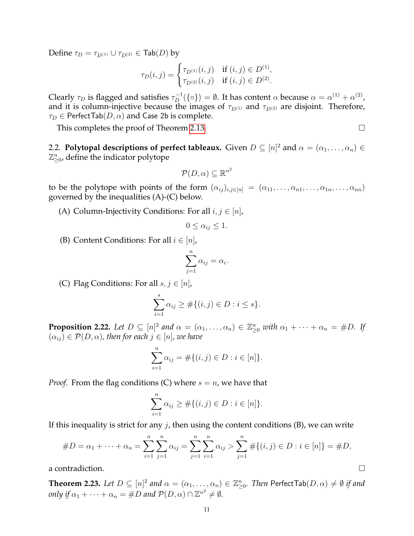Define  $\tau_D = \tau_{D^{(1)}} \cup \tau_{D^{(2)}} \in \textsf{Tab}(D)$  by

$$
\tau_D(i,j) = \begin{cases} \tau_{D^{(1)}}(i,j) & \text{if } (i,j) \in D^{(1)}, \\ \tau_{D^{(2)}}(i,j) & \text{if } (i,j) \in D^{(2)}. \end{cases}
$$

Clearly  $\tau_D$  is flagged and satisfies  $\tau_D^{-1}(\{\circ\})=\emptyset$ . It has content  $\alpha$  because  $\alpha=\alpha^{(1)}+\alpha^{(2)}$ , and it is column-injective because the images of  $\tau_{D^{(1)}}$  and  $\tau_{D^{(2)}}$  are disjoint. Therefore,  $\tau_D \in$  PerfectTab $(D, \alpha)$  and Case 2b is complete.

This completes the proof of Theorem [2.13.](#page-5-0)

<span id="page-10-2"></span>2.2. **Polytopal descriptions of perfect tableaux.** Given  $D \subseteq [n]^2$  and  $\alpha = (\alpha_1, \dots, \alpha_n) \in$  $\mathbb{Z}_{\geq 0}^n$ , define the indicator polytope

$$
\mathcal{P}(D,\alpha)\subseteq\mathbb{R}^{n^2}
$$

to be the polytope with points of the form  $(\alpha_{ij})_{i,j\in[n]} = (\alpha_{11},\ldots,\alpha_{n1},\ldots,\alpha_{1n},\ldots,\alpha_{nn})$ governed by the inequalities (A)-(C) below.

(A) Column-Injectivity Conditions: For all  $i, j \in [n]$ ,

$$
0 \le \alpha_{ij} \le 1.
$$

(B) Content Conditions: For all  $i \in [n]$ ,

$$
\sum_{j=1}^n \alpha_{ij} = \alpha_i.
$$

(C) Flag Conditions: For all  $s, j \in [n]$ ,

$$
\sum_{i=1}^{s} \alpha_{ij} \ge \#\{(i,j) \in D : i \le s\}.
$$

<span id="page-10-0"></span>**Proposition 2.22.** Let  $D \subseteq [n]^2$  and  $\alpha = (\alpha_1, \dots, \alpha_n) \in \mathbb{Z}_{\geq 0}^n$  with  $\alpha_1 + \dots + \alpha_n = \#D$ . If  $(\alpha_{ij}) \in \mathcal{P}(D, \alpha)$ , then for each  $j \in [n]$ , we have

$$
\sum_{i=1}^{n} \alpha_{ij} = \#\{(i,j) \in D : i \in [n]\}.
$$

*Proof.* From the flag conditions (C) where  $s = n$ , we have that

$$
\sum_{i=1}^{n} \alpha_{ij} \geq #\{(i,j) \in D : i \in [n]\}.
$$

If this inequality is strict for any  $j$ , then using the content conditions (B), we can write

#D = α<sup>1</sup> + · · · + α<sup>n</sup> = Xn i=1 Xn j=1 αij = Xn j=1 Xn i=1 αij > Xn j=1 #{(i, j) ∈ D : i ∈ [n]} = #D,

a contradiction.

<span id="page-10-1"></span>**Theorem 2.23.** Let  $D \subseteq [n]^2$  and  $\alpha = (\alpha_1, \dots, \alpha_n) \in \mathbb{Z}_{\geq 0}^n$ . Then  $\mathsf{PerfectTab}(D, \alpha) \neq \emptyset$  if and only if  $\alpha_1 + \cdots + \alpha_n = \#D$  and  $\mathcal{P}(D, \alpha) \cap \mathbb{Z}^{n^2} \neq \emptyset$ .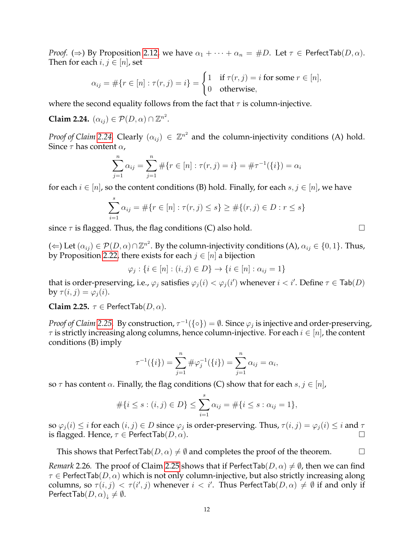*Proof.* ( $\Rightarrow$ ) By Proposition [2.12,](#page-5-2) we have  $\alpha_1 + \cdots + \alpha_n = \#D$ . Let  $\tau \in$  Perfect Tab( $D, \alpha$ ). Then for each  $i, j \in [n]$ , set

$$
\alpha_{ij} = #\{r \in [n] : \tau(r, j) = i\} = \begin{cases} 1 & \text{if } \tau(r, j) = i \text{ for some } r \in [n], \\ 0 & \text{otherwise,} \end{cases}
$$

where the second equality follows from the fact that  $\tau$  is column-injective.

<span id="page-11-0"></span>**Claim 2.24.**  $(\alpha_{ij}) \in \mathcal{P}(D, \alpha) \cap \mathbb{Z}^{n^2}$ .

*Proof of Claim* [2.24.](#page-11-0) Clearly  $(\alpha_{ij}) \in \mathbb{Z}^{n^2}$  and the column-injectivity conditions (A) hold. Since  $\tau$  has content  $\alpha$ ,

$$
\sum_{j=1}^{n} \alpha_{ij} = \sum_{j=1}^{n} \# \{ r \in [n] : \tau(r, j) = i \} = \# \tau^{-1}(\{ i \}) = \alpha_i
$$

for each  $i \in [n]$ , so the content conditions (B) hold. Finally, for each  $s, j \in [n]$ , we have

$$
\sum_{i=1}^{s} \alpha_{ij} = #\{r \in [n] : \tau(r, j) \le s\} \ge #\{(r, j) \in D : r \le s\}
$$

since  $\tau$  is flagged. Thus, the flag conditions (C) also hold.  $\Box$ 

(←) Let  $(\alpha_{ij})\in \mathcal{P}(D,\alpha)\cap \mathbb{Z}^{n^2}.$  By the column-injectivity conditions (A),  $\alpha_{ij}\in\{0,1\}.$  Thus, by Proposition [2.22,](#page-10-0) there exists for each  $j \in [n]$  a bijection

$$
\varphi_j : \{ i \in [n] : (i, j) \in D \} \to \{ i \in [n] : \alpha_{ij} = 1 \}
$$

that is order-preserving, i.e.,  $\varphi_j$  satisfies  $\varphi_j(i) < \varphi_j(i')$  whenever  $i < i'$ . Define  $\tau \in \textsf{Tab}(D)$ by  $\tau(i, j) = \varphi_i(i)$ .

<span id="page-11-1"></span>**Claim 2.25.**  $\tau \in$  Perfect Tab( $D, \alpha$ ).

*Proof of Claim [2.25.](#page-11-1)* By construction,  $\tau^{-1}(\{\circ\}) = \emptyset$ . Since  $\varphi_j$  is injective and order-preserving,  $\tau$  is strictly increasing along columns, hence column-injective. For each  $i \in [n]$ , the content conditions (B) imply

$$
\tau^{-1}(\{i\}) = \sum_{j=1}^n \#\varphi_j^{-1}(\{i\}) = \sum_{j=1}^n \alpha_{ij} = \alpha_i,
$$

so  $\tau$  has content  $\alpha$ . Finally, the flag conditions (C) show that for each  $s, j \in [n]$ ,

$$
\#\{i \le s : (i,j) \in D\} \le \sum_{i=1}^s \alpha_{ij} = \#\{i \le s : \alpha_{ij} = 1\},\
$$

so  $\varphi_j(i) \leq i$  for each  $(i, j) \in D$  since  $\varphi_j$  is order-preserving. Thus,  $\tau(i, j) = \varphi_j(i) \leq i$  and  $\tau$ is flagged. Hence,  $\tau \in$  Perfect Tab $(D, \alpha)$ .

This shows that PerfectTab( $D, \alpha$ )  $\neq \emptyset$  and completes the proof of the theorem.

<span id="page-11-2"></span>*Remark* 2.26. The proof of Claim [2.25](#page-11-1) shows that if PerfectTab( $D, \alpha$ )  $\neq \emptyset$ , then we can find  $\tau \in$  Perfect Tab $(D, \alpha)$  which is not only column-injective, but also strictly increasing along columns, so  $\tau(i,j) < \tau(i',j)$  whenever  $i < i'$ . Thus PerfectTab $(D,\alpha) \neq \emptyset$  if and only if PerfectTab $(D, \alpha)_{\downarrow} \neq \emptyset$ .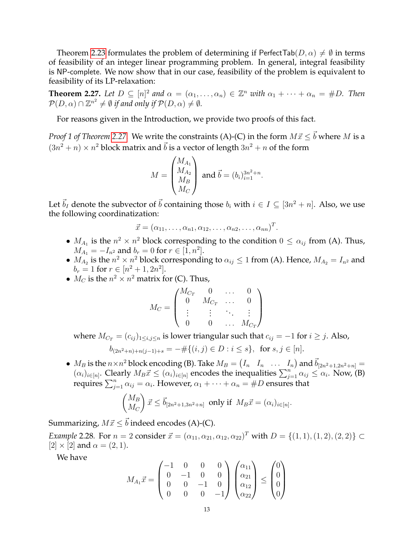Theorem [2.23](#page-10-1) formulates the problem of determining if PerfectTab( $D, \alpha$ )  $\neq \emptyset$  in terms of feasibility of an integer linear programming problem. In general, integral feasibility is NP-complete. We now show that in our case, feasibility of the problem is equivalent to feasibility of its LP-relaxation:

<span id="page-12-0"></span>**Theorem 2.27.** Let  $D \subseteq [n]^2$  and  $\alpha = (\alpha_1, \dots, \alpha_n) \in \mathbb{Z}^n$  with  $\alpha_1 + \dots + \alpha_n = \#D$ . Then  $\mathcal{P}(D,\alpha)\cap\mathbb{Z}^{n^2}\neq\emptyset$  if and only if  $\mathcal{P}(D,\alpha)\neq\emptyset.$ 

For reasons given in the Introduction, we provide two proofs of this fact.

*Proof 1 of Theorem [2.27.](#page-12-0)* We write the constraints (A)-(C) in the form  $M\vec{x} \leq \vec{b}$  where M is a  $(3n^2 + n) \times n^2$  block matrix and  $\vec{b}$  is a vector of length  $3n^2 + n$  of the form

$$
M = \begin{pmatrix} M_{A_1} \\ M_{A_2} \\ M_B \\ M_C \end{pmatrix}
$$
 and  $\vec{b} = (b_i)_{i=1}^{3n^2 + n}$ .

Let  $\vec{b}_I$  denote the subvector of  $\vec{b}$  containing those  $b_i$  with  $i \in I \subseteq [3n^2 + n]$ . Also, we use the following coordinatization:

$$
\vec{x} = (\alpha_{11}, \ldots, \alpha_{n1}, \alpha_{12}, \ldots, \alpha_{n2}, \ldots, \alpha_{nn})^T.
$$

- $M_{A_1}$  is the  $n^2 \times n^2$  block corresponding to the condition  $0 \le \alpha_{ij}$  from (A). Thus,  $M_{A_1} = -I_{n^2}$  and  $b_r = 0$  for  $r \in [\bar{1}, n^2]$ .
- $M_{A_2}$  is the  $n^2 \times n^2$  block corresponding to  $\alpha_{ij} \leq 1$  from (A). Hence,  $M_{A_2} = I_{n^2}$  and  $b_r = 1$  for  $r \in [n^2 + 1, 2n^2]$ .
- $M_C$  is the  $n^2 \times n^2$  matrix for (C). Thus,

$$
M_C = \begin{pmatrix} M_{C_T} & 0 & \dots & 0 \\ 0 & M_{C_T} & \dots & 0 \\ \vdots & \vdots & \ddots & \vdots \\ 0 & 0 & \dots & M_{C_T} \end{pmatrix}
$$

where  $M_{C_T} = (c_{ij})_{1 \le i,j \le n}$  is lower triangular such that  $c_{ij} = -1$  for  $i \ge j$ . Also,

$$
b_{(2n^2+n)+n(j-1)+s} = -\#\{(i,j) \in D : i \le s\}, \text{ for } s, j \in [n].
$$

•  $M_B$  is the  $n \times n^2$  block encoding (B). Take  $M_B = \begin{pmatrix} I_n & I_n & \dots & I_n \end{pmatrix}$  and  $\vec{b}_{[2n^2+1,2n^2+n]} =$  $(\alpha_i)_{i\in[n]}$ . Clearly  $M_B\vec{x} \leq (\alpha_i)_{i\in[n]}$  encodes the inequalities  $\sum_{j=1}^n \alpha_{ij} \leq \alpha_i$ . Now, (B) requires  $\sum_{j=1}^n \alpha_{ij} = \alpha_i$ . However,  $\alpha_1 + \cdots + \alpha_n = \#D$  ensures that

$$
\begin{pmatrix} M_B \\ M_C \end{pmatrix} \vec{x} \leq \vec{b}_{[2n^2+1,3n^2+n]} \text{ only if } M_B \vec{x} = (\alpha_i)_{i \in [n]}.
$$

Summarizing,  $M\vec{x} \leq \vec{b}$  indeed encodes (A)-(C).

*Example* 2.28. For  $n = 2$  consider  $\vec{x} = (\alpha_{11}, \alpha_{21}, \alpha_{12}, \alpha_{22})^T$  with  $D = \{(1, 1), (1, 2), (2, 2)\} \subset$  $[2] \times [2]$  and  $\alpha = (2, 1)$ .

We have

$$
M_{A_1}\vec{x} = \begin{pmatrix} -1 & 0 & 0 & 0 \\ 0 & -1 & 0 & 0 \\ 0 & 0 & -1 & 0 \\ 0 & 0 & 0 & -1 \end{pmatrix} \begin{pmatrix} \alpha_{11} \\ \alpha_{21} \\ \alpha_{12} \\ \alpha_{22} \end{pmatrix} \leq \begin{pmatrix} 0 \\ 0 \\ 0 \\ 0 \end{pmatrix}
$$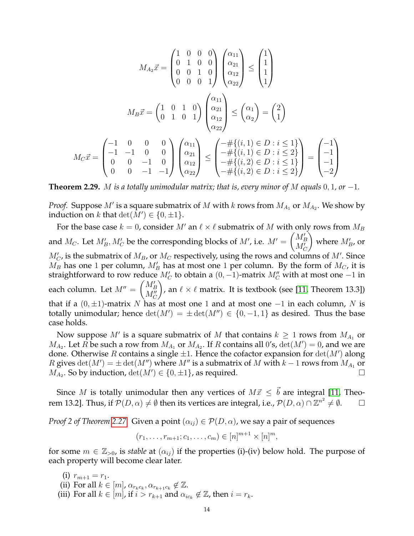$$
M_{A_2}\vec{x} = \begin{pmatrix} 1 & 0 & 0 & 0 \\ 0 & 1 & 0 & 0 \\ 0 & 0 & 1 & 0 \\ 0 & 0 & 0 & 1 \end{pmatrix} \begin{pmatrix} \alpha_{11} \\ \alpha_{21} \\ \alpha_{12} \\ \alpha_{22} \end{pmatrix} \le \begin{pmatrix} 1 \\ 1 \\ 1 \\ 1 \end{pmatrix}
$$

$$
M_B\vec{x} = \begin{pmatrix} 1 & 0 & 1 & 0 \\ 0 & 1 & 0 & 1 \\ 0 & 1 & 0 & 1 \end{pmatrix} \begin{pmatrix} \alpha_{11} \\ \alpha_{21} \\ \alpha_{12} \\ \alpha_{22} \end{pmatrix} \le \begin{pmatrix} \alpha_1 \\ \alpha_2 \end{pmatrix} = \begin{pmatrix} 2 \\ 1 \end{pmatrix}
$$

$$
M_C\vec{x} = \begin{pmatrix} -1 & 0 & 0 & 0 \\ -1 & -1 & 0 & 0 \\ 0 & 0 & -1 & 0 \\ 0 & 0 & -1 & -1 \end{pmatrix} \begin{pmatrix} \alpha_{11} \\ \alpha_{21} \\ \alpha_{12} \\ \alpha_{22} \end{pmatrix} \le \begin{pmatrix} -\# \{(i, 1) \in D : i \le 1 \\ -\# \{(i, 1) \in D : i \le 2\} \\ -\# \{(i, 2) \in D : i \le 1\} \\ -\# \{(i, 2) \in D : i \le 2\} \end{pmatrix} = \begin{pmatrix} -1 \\ -1 \\ -1 \\ -2 \end{pmatrix}
$$

**Theorem 2.29.** M *is a totally unimodular matrix; that is, every minor of* M *equals* 0, 1*, or* −1*.*

*Proof.* Suppose  $M'$  is a square submatrix of  $M$  with  $k$  rows from  $M_{A_1}$  or  $M_{A_2}$ . We show by induction on  $k$  that  $\det(M') \in \{0, \pm 1\}.$ 

For the base case  $k = 0$ , consider M' an  $\ell \times \ell$  submatrix of M with only rows from  $M_B$ and  $M_C$ . Let  $M'_B, M'_C$  be the corresponding blocks of  $M'$ , i.e.  $M' = \begin{pmatrix} M'_B \ M'_C \end{pmatrix}$  $\bigg)$  where  $M'_{B}$ , or  $M_C'$ , is the submatrix of  $M_B$ , or  $M_C$  respectively, using the rows and columns of  $M'$ . Since  $M_B$  has one 1 per column,  $M'_B$  has at most one 1 per column. By the form of  $M_C$ , it is straightforward to row reduce  $M_C'$  to obtain a  $(0, -1)$ -matrix  $M_C''$  with at most one  $-1$  in each column. Let  $M''=\begin{pmatrix} M'_B\ M''_C\end{pmatrix}$  $\setminus$ , an  $\ell \times \ell$  matrix. It is textbook (see [\[11,](#page-28-10) Theorem 13.3]) that if a  $(0, \pm 1)$ -matrix N has at most one 1 and at most one -1 in each column, N is totally unimodular; hence  $\det(M') = \pm \det(M'') \in \{0, -1, 1\}$  as desired. Thus the base case holds.

Now suppose  $M'$  is a square submatrix of  $M$  that contains  $k \geq 1$  rows from  $M_{A_1}$  or  $M_{A_2}$ . Let  $\overline{R}$  be such a row from  $M_{A_1}$  or  $M_{A_2}$ . If  $R$  contains all 0's,  $\det(M')=0$ , and we are done. Otherwise R contains a single  $\pm 1$ . Hence the cofactor expansion for  $det(M')$  along R gives  $\det(M') = \pm \det(M'')$  where  $M''$  is a submatrix of M with  $k-1$  rows from  $M_{A_1}$  or  $M_{A_2}$ . So by induction,  $\det(M') \in \{0, \pm 1\}$ , as required.

Since M is totally unimodular then any vertices of  $M\vec{x} \leq \vec{b}$  are integral [\[11,](#page-28-10) Theorem 13.2]. Thus, if  $\mathcal{P}(D,\alpha)\neq \emptyset$  then its vertices are integral, i.e.,  $\mathcal{P}(D,\alpha)\cap \mathbb{Z}^{n^2}\neq \emptyset.$   $\hfill\Box$ 

*Proof 2 of Theorem [2.27.](#page-12-0)* Given a point  $(\alpha_{ij}) \in \mathcal{P}(D, \alpha)$ , we say a pair of sequences

$$
(r_1, \ldots, r_{m+1}; c_1, \ldots, c_m) \in [n]^{m+1} \times [n]^m
$$
,

for some  $m \in \mathbb{Z}_{>0}$ , is *stable* at  $(\alpha_{ij})$  if the properties (i)-(iv) below hold. The purpose of each property will become clear later.

- (i)  $r_{m+1} = r_1$ .
- (ii) For all  $k \in [m]$ ,  $\alpha_{r_k c_k}, \alpha_{r_{k+1} c_k} \notin \mathbb{Z}$ .
- (iii) For all  $k \in [m]$ , if  $i > r_{k+1}$  and  $\alpha_{ic_k} \notin \mathbb{Z}$ , then  $i = r_k$ .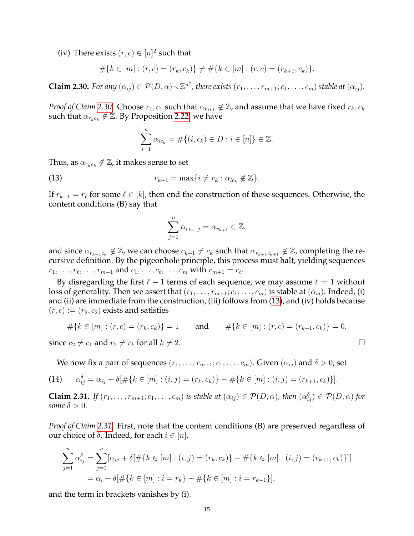(iv) There exists  $(r, c) \in [n]^2$  such that

$$
#{k \in [m] : (r, c) = (r_k, c_k)} \neq #{k \in [m] : (r, c) = (r_{k+1}, c_k)}.
$$

<span id="page-14-0"></span>**Claim 2.30.** *For any*  $(\alpha_{ij}) \in \mathcal{P}(D, \alpha) \setminus \mathbb{Z}^{n^2}$ , there exists  $(r_1, \ldots, r_{m+1}; c_1, \ldots, c_m)$  stable at  $(\alpha_{ij})$ .

*Proof of Claim* [2.30.](#page-14-0) Choose  $r_1, c_1$  such that  $\alpha_{r_1c_1} \notin \mathbb{Z}$ , and assume that we have fixed  $r_k, c_k$ such that  $\alpha_{r_kc_k} \notin \mathbb{Z}$ . By Proposition [2.22,](#page-10-0) we have

$$
\sum_{i=1}^{n} \alpha_{ic_k} = #\{(i, c_k) \in D : i \in [n]\} \in \mathbb{Z}.
$$

Thus, as  $\alpha_{r_kc_k}\not\in\mathbb{Z}$ , it makes sense to set

<span id="page-14-1"></span>(13) 
$$
r_{k+1} = \max\{i \neq r_k : \alpha_{ic_k} \notin \mathbb{Z}\}.
$$

If  $r_{k+1} = r_\ell$  for some  $\ell \in [k]$ , then end the construction of these sequences. Otherwise, the content conditions (B) say that

$$
\sum_{j=1}^{n} \alpha_{r_{k+1}j} = \alpha_{r_{k+1}} \in \mathbb{Z},
$$

and since  $\alpha_{r_{k+1}c_k}\not\in\mathbb{Z}$ , we can choose  $c_{k+1}\neq c_k$  such that  $\alpha_{r_{k+1}c_{k+1}}\not\in\mathbb{Z}$ , completing the recursive definition. By the pigeonhole principle, this process must halt, yielding sequences  $r_1, \ldots, r_\ell, \ldots, r_{m+1}$  and  $c_1, \ldots, c_\ell, \ldots, c_m$  with  $r_{m+1} = r_\ell$ .

By disregarding the first  $\ell - 1$  terms of each sequence, we may assume  $\ell = 1$  without loss of generality. Then we assert that  $(r_1, \ldots, r_{m+1}; c_1, \ldots, c_m)$  is stable at  $(\alpha_{ij})$ . Indeed, (i) and (ii) are immediate from the construction, (iii) follows from [\(13\)](#page-14-1), and (iv) holds because  $(r, c) := (r_2, c_2)$  exists and satisfies

$$
#{k \in [m] : (r, c) = (r_k, c_k)} = 1 \quad \text{and} \quad #{k \in [m] : (r, c) = (r_{k+1}, c_k)} = 0,
$$

since  $c_2 \neq c_1$  and  $r_2 \neq r_k$  for all  $k \neq 2$ .

We now fix a pair of sequences  $(r_1, \ldots, r_{m+1}; c_1, \ldots, c_m)$ . Given  $(\alpha_{ij})$  and  $\delta > 0$ , set

<span id="page-14-3"></span>(14) 
$$
\alpha_{ij}^{\delta} = \alpha_{ij} + \delta[\# \{ k \in [m] : (i,j) = (r_k, c_k) \} - \# \{ k \in [m] : (i,j) = (r_{k+1}, c_k) \}].
$$

<span id="page-14-2"></span>**Claim 2.31.** *If*  $(r_1, \ldots, r_{m+1}; c_1, \ldots, c_m)$  *is stable at*  $(\alpha_{ij}) \in \mathcal{P}(D, \alpha)$ *, then*  $(\alpha_{ij}^{\delta}) \in \mathcal{P}(D, \alpha)$  *for some*  $\delta > 0$ *.* 

*Proof of Claim [2.31.](#page-14-2)* First, note that the content conditions (B) are preserved regardless of our choice of δ. Indeed, for each  $i ∈ [n]$ ,

$$
\sum_{j=1}^{n} \alpha_{ij}^{\delta} = \sum_{j=1}^{n} [\alpha_{ij} + \delta] \# \{ k \in [m] : (i, j) = (r_k, c_k) \} - \# \{ k \in [m] : (i, j) = (r_{k+1}, c_k) \} ] ]
$$
  
=  $\alpha_i + \delta \{ \# \{ k \in [m] : i = r_k \} - \# \{ k \in [m] : i = r_{k+1} \} \},$ 

and the term in brackets vanishes by (i).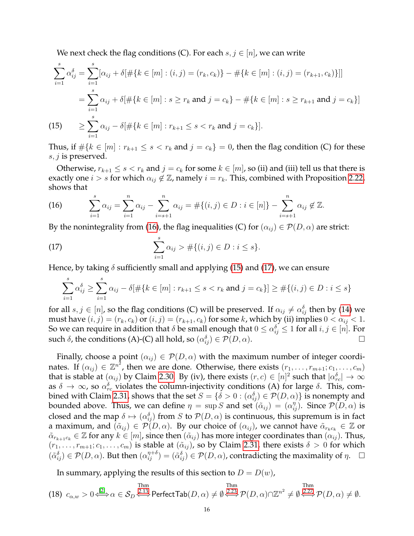We next check the flag conditions (C). For each  $s, j \in [n]$ , we can write

$$
\sum_{i=1}^{s} \alpha_{ij}^{\delta} = \sum_{i=1}^{s} [\alpha_{ij} + \delta[\# \{ k \in [m] : (i, j) = (r_k, c_k) \} - \# \{ k \in [m] : (i, j) = (r_{k+1}, c_k) \}]]
$$
  

$$
= \sum_{i=1}^{s} \alpha_{ij} + \delta[\# \{ k \in [m] : s \ge r_k \text{ and } j = c_k \} - \# \{ k \in [m] : s \ge r_{k+1} \text{ and } j = c_k \} ]
$$
  
(15) 
$$
\ge \sum_{i=1}^{s} \alpha_{ij} - \delta[\# \{ k \in [m] : r_{k+1} \le s < r_k \text{ and } j = c_k \}].
$$

<span id="page-15-1"></span>Thus, if  $\#\{k \in [m] : r_{k+1} \le s < r_k \text{ and } j = c_k\} = 0$ , then the flag condition (C) for these  $s, j$  is preserved.

Otherwise,  $r_{k+1} \leq s < r_k$  and  $j = c_k$  for some  $k \in [m]$ , so (ii) and (iii) tell us that there is exactly one  $i > s$  for which  $\alpha_{ij} \notin \mathbb{Z}$ , namely  $i = r_k$ . This, combined with Proposition [2.22,](#page-10-0) shows that

<span id="page-15-0"></span>(16) 
$$
\sum_{i=1}^{s} \alpha_{ij} = \sum_{i=1}^{n} \alpha_{ij} - \sum_{i=s+1}^{n} \alpha_{ij} = #\{(i,j) \in D : i \in [n]\} - \sum_{i=s+1}^{n} \alpha_{ij} \notin \mathbb{Z}.
$$

By the nonintegrality from [\(16\)](#page-15-0), the flag inequalities (C) for  $(\alpha_{ii}) \in \mathcal{P}(D, \alpha)$  are strict:

<span id="page-15-2"></span>(17) 
$$
\sum_{i=1}^{s} \alpha_{ij} > #\{(i,j) \in D : i \leq s\}.
$$

Hence, by taking  $\delta$  sufficiently small and applying [\(15\)](#page-15-1) and [\(17\)](#page-15-2), we can ensure

$$
\sum_{i=1}^{s} \alpha_{ij}^{\delta} \ge \sum_{i=1}^{s} \alpha_{ij} - \delta[\#\{k \in [m] : r_{k+1} \le s < r_k \text{ and } j = c_k\}] \ge \#\{(i, j) \in D : i \le s\}
$$

for all  $s, j \in [n]$ , so the flag conditions (C) will be preserved. If  $\alpha_{ij} \neq \alpha_{ij}^{\delta}$  then by [\(14\)](#page-14-3) we must have  $(i, j) = (r_k, c_k)$  or  $(i, j) = (r_{k+1}, c_k)$  for some k, which by (ii) implies  $0 < \alpha_{ij} < 1$ . So we can require in addition that  $\delta$  be small enough that  $0\leq\alpha_{ij}^{\delta}\leq 1$  for all  $i,j\in [n].$  For such  $\delta$ , the conditions (A)-(C) all hold, so  $(\alpha_{ij}^{\delta}) \in \mathcal{P}(D, \alpha)$ .

Finally, choose a point  $(\alpha_{ij}) \in \mathcal{P}(D, \alpha)$  with the maximum number of integer coordinates. If  $(\alpha_{ij}) \in \mathbb{Z}^{n^2}$ , then we are done. Otherwise, there exists  $(r_1, \ldots, r_{m+1}; c_1, \ldots, c_m)$ that is stable at  $(\alpha_{ij})$  by Claim [2.30.](#page-14-0) By (iv), there exists  $(r,c)\in [n]^2$  such that  $|\alpha_{rc}^\delta|\to\infty$ as  $\delta\to\infty$ , so  $\alpha^\delta_{rc}$  violates the column-injectivity conditions (A) for large  $\delta.$  This, com-bined with Claim [2.31,](#page-14-2) shows that the set  $S=\{\delta>0:(\alpha_{ij}^\delta)\in \mathcal{P}(D,\alpha)\}$  is nonempty and bounded above. Thus, we can define  $\eta = \sup S$  and set  $(\tilde{\alpha}_{ij}) = (\alpha_{ij}^{\eta})$ . Since  $\mathcal{P}(D, \alpha)$  is closed and the map  $\delta \mapsto (\alpha_{ij}^\delta)$  from  $S$  to  $\mathcal{P}(D,\alpha)$  is continuous, this supremum is in fact a maximum, and  $(\tilde{\alpha}_{ij}) \in \mathcal{P}(D,\alpha)$ . By our choice of  $(\alpha_{ij})$ , we cannot have  $\tilde{\alpha}_{r_kc_k} \in \mathbb{Z}$  or  $\tilde{\alpha}_{r_{k+1}c_k} \in \mathbb{Z}$  for any  $k \in [m]$ , since then  $(\tilde{\alpha}_{ij})$  has more integer coordinates than  $(\alpha_{ij})$ . Thus,  $(r_1, \ldots, r_{m+1}; c_1, \ldots, c_m)$  is stable at  $(\tilde{\alpha}_{ij})$ , so by Claim [2.31,](#page-14-2) there exists  $\delta > 0$  for which  $(\tilde{\alpha}_{ij}^{\delta}) \in \mathcal{P}(D,\alpha)$ . But then  $(\alpha_{ij}^{\eta+\delta}) = (\tilde{\alpha}_{ij}^{\delta}) \in \mathcal{P}(D,\alpha)$ , contradicting the maximality of  $\eta$ .  $\Box$ 

In summary, applying the results of this section to  $D = D(w)$ ,

<span id="page-15-3"></span>(18) 
$$
c_{\alpha,w} > 0 \stackrel{\text{[2]}}{\Longleftrightarrow} \alpha \in \mathcal{S}_D \stackrel{\text{2.13}}{\Longleftrightarrow} \text{PerfectTab}(D, \alpha) \neq \emptyset \stackrel{\text{Thm}}{\Longleftrightarrow} \mathcal{P}(D, \alpha) \cap \mathbb{Z}^{n^2} \neq \emptyset \stackrel{\text{Thm}}{\Longleftrightarrow} \mathcal{P}(D, \alpha) \neq \emptyset.
$$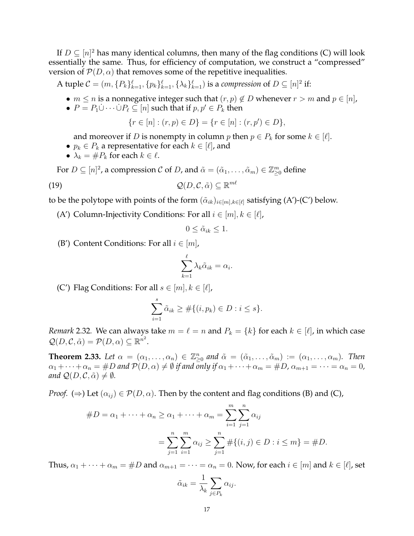If  $D \subseteq [n]^2$  has many identical columns, then many of the flag conditions (C) will look essentially the same. Thus, for efficiency of computation, we construct a "compressed" version of  $\mathcal{P}(D,\alpha)$  that removes some of the repetitive inequalities.

A tuple  $C = (m, \{P_k\}_{k=1}^{\ell}, \{p_k\}_{k=1}^{\ell}, \{\lambda_k\}_{k=1}^{\ell})$  is a *compression* of  $D \subseteq [n]^2$  if:

- $m \le n$  is a nonnegative integer such that  $(r, p) \notin D$  whenever  $r > m$  and  $p \in [n]$ ,
- $P = P_1 \dot{\cup} \cdots \dot{\cup} P_\ell \subseteq [n]$  such that if  $p, p' \in P_k$  then

 $\{r \in [n] : (r, p) \in D\} = \{r \in [n] : (r, p') \in D\},\$ 

and moreover if *D* is nonempty in column *p* then  $p \in P_k$  for some  $k \in [\ell]$ .

- $p_k \in P_k$  a representative for each  $k \in [\ell]$ , and
- $\lambda_k = \#P_k$  for each  $k \in \ell$ .

For  $D\subseteq [n]^2$ , a compression  $C$  of  $D$ , and  $\tilde{\alpha}=(\tilde{\alpha}_1,\ldots,\tilde{\alpha}_m)\in \mathbb{Z}_{\geq 0}^m$  define

$$
\mathcal{Q}(D,\mathcal{C},\tilde{\alpha}) \subseteq \mathbb{R}^{m\ell}
$$

to be the polytope with points of the form  $(\tilde{\alpha}_{ik})_{i\in[m],k\in[\ell]}$  satisfying (A')-(C') below.

(A') Column-Injectivity Conditions: For all  $i \in [m], k \in [\ell],$ 

$$
0 \leq \tilde{\alpha}_{ik} \leq 1.
$$

(B') Content Conditions: For all  $i \in [m]$ ,

$$
\sum_{k=1}^{\ell} \lambda_k \tilde{\alpha}_{ik} = \alpha_i.
$$

(C') Flag Conditions: For all  $s \in [m], k \in [\ell],$ 

$$
\sum_{i=1}^{s} \tilde{\alpha}_{ik} \geq #\{(i, p_k) \in D : i \leq s\}.
$$

<span id="page-16-1"></span>*Remark* 2.32. We can always take  $m = \ell = n$  and  $P_k = \{k\}$  for each  $k \in [\ell]$ , in which case  $\mathcal{Q}(D,\mathcal{C},\tilde{\alpha})=\mathcal{P}(D,\alpha)\subseteq\mathbb{R}^{n^2}.$ 

<span id="page-16-0"></span>**Theorem 2.33.** Let  $\alpha = (\alpha_1, \ldots, \alpha_n) \in \mathbb{Z}_{\geq 0}^n$  and  $\tilde{\alpha} = (\tilde{\alpha}_1, \ldots, \tilde{\alpha}_m) := (\alpha_1, \ldots, \alpha_m)$ . Then  $\alpha_1 + \cdots + \alpha_n = \#D$  and  $\mathcal{P}(D, \alpha) \neq \emptyset$  if and only if  $\alpha_1 + \cdots + \alpha_m = \#D$ ,  $\alpha_{m+1} = \cdots = \alpha_n = 0$ , *and*  $\mathcal{Q}(D, \mathcal{C}, \tilde{\alpha}) \neq \emptyset$ *.* 

*Proof.* ( $\Rightarrow$ ) Let ( $\alpha_{ij}$ )  $\in \mathcal{P}(D,\alpha)$ . Then by the content and flag conditions (B) and (C),

$$
#D = \alpha_1 + \dots + \alpha_n \ge \alpha_1 + \dots + \alpha_m = \sum_{i=1}^m \sum_{j=1}^n \alpha_{ij}
$$

$$
= \sum_{j=1}^n \sum_{i=1}^m \alpha_{ij} \ge \sum_{j=1}^n #\{(i,j) \in D : i \le m\} = #D.
$$

Thus,  $\alpha_1 + \cdots + \alpha_m = \#D$  and  $\alpha_{m+1} = \cdots = \alpha_n = 0$ . Now, for each  $i \in [m]$  and  $k \in [\ell]$ , set

$$
\tilde{\alpha}_{ik} = \frac{1}{\lambda_k} \sum_{j \in P_k} \alpha_{ij}.
$$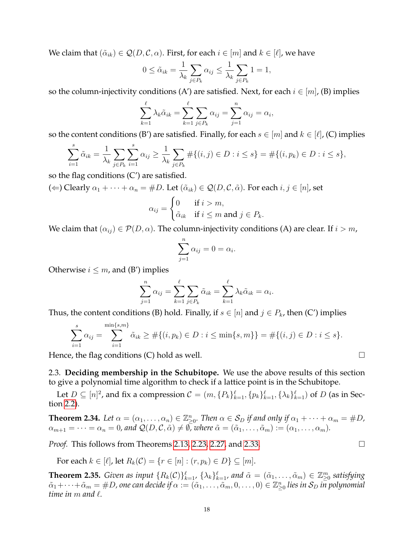We claim that  $(\tilde{\alpha}_{ik}) \in \mathcal{Q}(D, \mathcal{C}, \alpha)$ . First, for each  $i \in [m]$  and  $k \in [\ell]$ , we have

$$
0 \leq \tilde{\alpha}_{ik} = \frac{1}{\lambda_k} \sum_{j \in P_k} \alpha_{ij} \leq \frac{1}{\lambda_k} \sum_{j \in P_k} 1 = 1,
$$

so the column-injectivity conditions (A') are satisfied. Next, for each  $i \in [m]$ , (B) implies

$$
\sum_{k=1}^{\ell} \lambda_k \tilde{\alpha}_{ik} = \sum_{k=1}^{\ell} \sum_{j \in P_k} \alpha_{ij} = \sum_{j=1}^{n} \alpha_{ij} = \alpha_i,
$$

so the content conditions (B') are satisfied. Finally, for each  $s \in [m]$  and  $k \in [\ell]$ , (C) implies

$$
\sum_{i=1}^{s} \tilde{\alpha}_{ik} = \frac{1}{\lambda_k} \sum_{j \in P_k} \sum_{i=1}^{s} \alpha_{ij} \ge \frac{1}{\lambda_k} \sum_{j \in P_k} \# \{(i,j) \in D : i \le s\} = \# \{(i,p_k) \in D : i \le s\},\
$$

so the flag conditions  $(C')$  are satisfied.

( $\Leftarrow$ ) Clearly  $\alpha_1 + \cdots + \alpha_n = \#D$ . Let  $(\tilde{\alpha}_{ik}) \in \mathcal{Q}(D, \mathcal{C}, \tilde{\alpha})$ . For each  $i, j \in [n]$ , set

$$
\alpha_{ij} = \begin{cases} 0 & \text{if } i > m, \\ \tilde{\alpha}_{ik} & \text{if } i \le m \text{ and } j \in P_k. \end{cases}
$$

We claim that  $(\alpha_{ij}) \in \mathcal{P}(D, \alpha)$ . The column-injectivity conditions (A) are clear. If  $i > m$ ,

$$
\sum_{j=1}^{n} \alpha_{ij} = 0 = \alpha_i
$$

.

Otherwise  $i \leq m$ , and (B') implies

$$
\sum_{j=1}^{n} \alpha_{ij} = \sum_{k=1}^{\ell} \sum_{j \in P_k} \tilde{\alpha}_{ik} = \sum_{k=1}^{\ell} \lambda_k \tilde{\alpha}_{ik} = \alpha_i.
$$

Thus, the content conditions (B) hold. Finally, if  $s \in [n]$  and  $j \in P_k$ , then (C') implies

$$
\sum_{i=1}^{s} \alpha_{ij} = \sum_{i=1}^{\min\{s,m\}} \tilde{\alpha}_{ik} \geq #\{(i, p_k) \in D : i \leq \min\{s,m\}\} = #\{(i,j) \in D : i \leq s\}.
$$

Hence, the flag conditions (C) hold as well.  $\Box$ 

2.3. **Deciding membership in the Schubitope.** We use the above results of this section to give a polynomial time algorithm to check if a lattice point is in the Schubitope.

Let  $D \subseteq [n]^2$ , and fix a compression  $\mathcal{C} = (m, \{P_k\}_{k=1}^{\ell}, \{p_k\}_{k=1}^{\ell}, \{\lambda_k\}_{k=1}^{\ell})$  of  $D$  (as in Section [2.2\)](#page-10-2).

<span id="page-17-0"></span>**Theorem 2.34.** Let  $\alpha = (\alpha_1, \ldots, \alpha_n) \in \mathbb{Z}_{\geq 0}^n$ . Then  $\alpha \in \mathcal{S}_D$  if and only if  $\alpha_1 + \cdots + \alpha_m = \#D$ ,  $\alpha_{m+1} = \cdots = \alpha_n = 0$ , and  $\mathcal{Q}(D, \mathcal{C}, \tilde{\alpha}) \neq \emptyset$ , where  $\tilde{\alpha} = (\tilde{\alpha}_1, \ldots, \tilde{\alpha}_m) := (\alpha_1, \ldots, \alpha_m)$ .

*Proof.* This follows from Theorems [2.13,](#page-5-0) [2.23,](#page-10-1) [2.27,](#page-12-0) and [2.33.](#page-16-0)

For each  $k \in [\ell]$ , let  $R_k(\mathcal{C}) = \{r \in [n] : (r, p_k) \in D\} \subseteq [m]$ .

<span id="page-17-1"></span>**Theorem 2.35.** *Given as input*  ${R_k(\mathcal{C})\}_{k=1}^{\ell}$ ,  ${\lambda_k\}_{k=1}^{\ell}$ , and  $\tilde{\alpha} = (\tilde{\alpha}_1, \dots, \tilde{\alpha}_m) \in \mathbb{Z}_{\geq 0}^m$  satisfying  $\tilde{\alpha}_1+\cdots+\tilde{\alpha}_m=\#D$ , one can decide if  $\alpha:=(\tilde{\alpha}_1,\ldots,\tilde{\alpha}_m,0,\ldots,0)\in\mathbb{Z}_{\geq 0}^n$  lies in  $\mathcal{S}_D$  in polynomial *time in*  $m$  and  $\ell$ .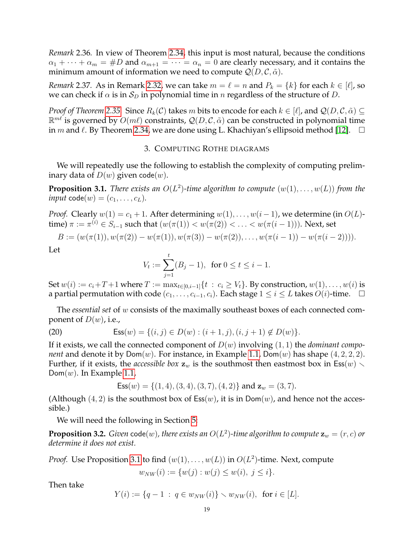*Remark* 2.36*.* In view of Theorem [2.34,](#page-17-0) this input is most natural, because the conditions  $\alpha_1 + \cdots + \alpha_m = \#D$  and  $\alpha_{m+1} = \cdots = \alpha_n = 0$  are clearly necessary, and it contains the minimum amount of information we need to compute  $Q(D, \mathcal{C}, \tilde{\alpha})$ .

*Remark* 2.37. As in Remark [2.32,](#page-16-1) we can take  $m = \ell = n$  and  $P_k = \{k\}$  for each  $k \in [\ell]$ , so we can check if  $\alpha$  is in  $S_D$  in polynomial time in n regardless of the structure of D.

*Proof of Theorem* [2.35.](#page-17-1) Since  $R_k(\mathcal{C})$  takes m bits to encode for each  $k \in [\ell]$ , and  $\mathcal{Q}(D, \mathcal{C}, \tilde{\alpha}) \subseteq$  $\mathbb{R}^{m\ell}$  is governed by  $O(m\ell)$  constraints,  $\mathcal{Q}(D,\mathcal{C},\tilde{\alpha})$  can be constructed in polynomial time in *m* and  $\ell$ . By Theorem [2.34,](#page-17-0) we are done using L. Khachiyan's ellipsoid method [\[12\]](#page-29-0).  $\Box$ 

# 3. COMPUTING ROTHE DIAGRAMS

We will repeatedly use the following to establish the complexity of computing preliminary data of  $D(w)$  given code $(w)$ .

<span id="page-18-0"></span>**Proposition 3.1.** *There exists an*  $O(L^2)$ -time algorithm to compute  $(w(1), \ldots, w(L))$  from the  $input \text{ code}(w) = (c_1, \ldots, c_L).$ 

*Proof.* Clearly  $w(1) = c_1 + 1$ . After determining  $w(1), \ldots, w(i-1)$ , we determine (in  $O(L)$ time)  $\pi:=\pi^{(i)}\in S_{i-1}$  such that  $(w(\pi(1))< w(\pi(2))< \ldots < w(\pi(i-1))).$  Next, set

$$
B := (w(\pi(1)), w(\pi(2)) - w(\pi(1)), w(\pi(3)) - w(\pi(2)), \ldots, w(\pi(i-1)) - w(\pi(i-2))).
$$

Let

$$
V_t := \sum_{j=1}^t (B_j - 1), \text{ for } 0 \le t \le i - 1.
$$

Set  $w(i) := c_i + T + 1$  where  $T := \max_{t \in [0,i-1]} \{t : c_i \geq V_t\}$ . By construction,  $w(1), \ldots, w(i)$  is a partial permutation with code  $(c_1, \ldots, c_{i-1}, c_i)$ . Each stage  $1 \le i \le L$  takes  $O(i)$ -time. □

The *essential set* of w consists of the maximally southeast boxes of each connected component of  $D(w)$ , i.e.,

(20) 
$$
Ess(w)=\{(i,j)\in D(w):(i+1,j),(i,j+1)\notin D(w)\}.
$$

If it exists, we call the connected component of D(w) involving (1, 1) the *dominant component* and denote it by  $Dom(w)$ . For instance, in Example [1.1,](#page-1-2)  $Dom(w)$  has shape  $(4, 2, 2, 2)$ . Further, if it exists, the *accessible box*  $z_w$  is the southmost then eastmost box in Ess(w)  $\setminus$  $Dom(w)$ . In Example [1.1,](#page-1-2)

$$
Ess(w)=\{(1,4),(3,4),(3,7),(4,2)\}\text{ and }{\bf z}_w=(3,7).
$$

(Although  $(4, 2)$  is the southmost box of  $\text{Ess}(w)$ , it is in  $\text{Dom}(w)$ , and hence not the accessible.)

We will need the following in Section [5:](#page-21-0)

<span id="page-18-1"></span>**Proposition 3.2.** Given  $\mathsf{code}(w)$ , there exists an  $O(L^2)$ -time algorithm to compute  $\mathbf{z}_w = (r, c)$  or *determine it does not exist.*

*Proof.* Use Proposition [3.1](#page-18-0) to find  $(w(1), \ldots, w(L))$  in  $O(L^2)$ -time. Next, compute  $w_{NW}(i) := \{w(j) : w(j) \leq w(i), j \leq i\}.$ 

Then take

$$
Y(i) := \{q - 1 \; : \; q \in w_{NW}(i)\} \smallsetminus w_{NW}(i), \text{ for } i \in [L].
$$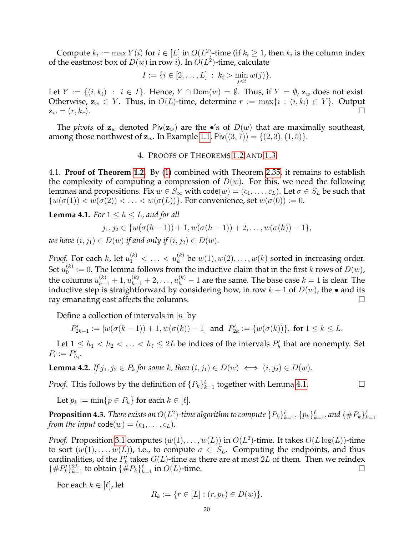Compute  $k_i := \max Y(i)$  for  $i \in [L]$  in  $O(L^2)$ -time (if  $k_i \geq 1$ , then  $k_i$  is the column index of the eastmost box of  $D(w)$  in row *i*). In  $O(L^2)$ -time, calculate

$$
I := \{ i \in [2, ..., L] : k_i > \min_{j < i} w(j) \}.
$$

Let  $Y := \{(i, k_i) : i \in I\}$ . Hence,  $Y \cap \text{Dom}(w) = \emptyset$ . Thus, if  $Y = \emptyset$ ,  $\mathbf{z}_w$  does not exist. Otherwise,  $z_w \in Y$ . Thus, in  $O(L)$ -time, determine  $r := \max\{i : (i, k_i) \in Y\}$ . Output  $z_w = (r, k_r).$ 

The *pivots* of  $z_w$  denoted  $\text{Piv}(z_w)$  are the  $\bullet$ 's of  $D(w)$  that are maximally southeast, among those northwest of  $z_w$ . In Example [1.1,](#page-1-2)  $\text{Piv}((3,7)) = \{(2,3), (1,5)\}.$ 

### 4. PROOFS OF THEOREMS [1.2](#page-1-0) AND [1.3](#page-1-1)

4.1. **Proof of Theorem [1.2.](#page-1-0)** By [\(1\)](#page-2-1) combined with Theorem [2.35,](#page-17-1) it remains to establish the complexity of computing a compression of  $D(w)$ . For this, we need the following lemmas and propositions. Fix  $w \in S_\infty$  with code $(w) = (c_1, \ldots, c_L)$ . Let  $\sigma \in S_L$  be such that  $\{w(\sigma(1)) < w(\sigma(2)) < \ldots < w(\sigma(L))\}$ . For convenience, set  $w(\sigma(0)) := 0$ .

<span id="page-19-0"></span>**Lemma 4.1.** *For*  $1 \leq h \leq L$ *, and for all* 

$$
j_1, j_2 \in \{w(\sigma(h-1)) + 1, w(\sigma(h-1)) + 2, \ldots, w(\sigma(h)) - 1\},\
$$

*we have*  $(i, j_1) \in D(w)$  *if and only if*  $(i, j_2) \in D(w)$ *.* 

*Proof.* For each k, let  $u_1^{(k)} < \ldots < u_k^{(k)}$  be  $w(1), w(2), \ldots, w(k)$  sorted in increasing order. Set  $u_0^{(k)}$  $\mathbf{D}_0^{(k)} := 0$ . The lemma follows from the inductive claim that in the first k rows of  $D(w)$ , the columns  $u_{h-1}^{(k)}+1,u_{h-1}^{(k)}+2,\ldots,u_h^{(k)}-1$  are the same. The base case  $k=1$  is clear. The inductive step is straightforward by considering how, in row  $k + 1$  of  $D(w)$ , the • and its ray emanating east affects the columns.  $\square$ 

Define a collection of intervals in  $[n]$  by

$$
P'_{2k-1} := [w(\sigma(k-1)) + 1, w(\sigma(k)) - 1] \text{ and } P'_{2k} := \{w(\sigma(k))\}, \text{ for } 1 \le k \le L.
$$

Let  $1 \leq h_1 < h_2 < \ldots < h_\ell \leq 2L$  be indices of the intervals  $P'_h$  that are nonempty. Set  $P_i := P'_{h_i}.$ 

<span id="page-19-2"></span>**Lemma 4.2.** *If*  $j_1, j_2 \in P_k$  *for some k, then*  $(i, j_1) \in D(w) \iff (i, j_2) \in D(w)$ *.* 

*Proof.* This follows by the definition of  $\{P_k\}_{k=1}^{\ell}$  together with Lemma [4.1.](#page-19-0)

Let  $p_k := \min\{p \in P_k\}$  for each  $k \in [\ell].$ 

<span id="page-19-1"></span> ${\bf Proposition \ 4.3.}$  There exists an  $O(L^2)$ -time algorithm to compute  $\{P_k\}_{k=1}^\ell, \{p_k\}_{k=1}^\ell,$  and  $\{\#P_k\}_{k=1}^\ell$ *from the input*  $code(w) = (c_1, \ldots, c_L)$ *.* 

*Proof.* Proposition [3.1](#page-18-0) computes  $(w(1), \ldots, w(L))$  in  $O(L^2)$ -time. It takes  $O(L \log(L))$ -time to sort  $(w(1), \ldots, w(L))$ , i.e., to compute  $\sigma \in S_L$ . Computing the endpoints, and thus cardinalities, of the  $P'_k$  takes  $O(L)$ -time as there are at most 2L of them. Then we reindex  $\{\#P_k'\}_{k=1}^{\infty}$  to obtain  $\{\#P_k\}_{k=1}^{\ell}$  in  $O(L)$ -time.

For each  $k \in [\ell]$ , let

$$
R_k := \{ r \in [L] : (r, p_k) \in D(w) \}.
$$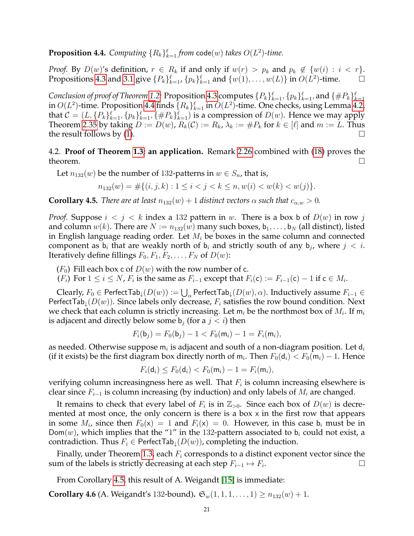<span id="page-20-0"></span>**Proposition 4.4.** Computing  ${R_k}_{k=1}^{\ell}$  *from* code(w) *takes*  $O(L^2)$ -time.

*Proof.* By  $D(w)$ 's definition,  $r \in R_k$  if and only if  $w(r) > p_k$  and  $p_k \notin \{w(i) : i < r\}$ . Propositions [4.3](#page-19-1) and [3.1](#page-18-0) give  ${P_k}_{k=1}^{\ell}$ ,  ${p_k}_{k=1}^{\ell}$  and  ${w(1), \ldots, w(L)}$  in  $O(L^2)$ -time.

*Conclusion of proof of Theorem [1.2:](#page-1-0) Proposition [4.3](#page-19-1) computes*  $\{P_k\}_{k=1}^\ell, \{p_k\}_{k=1}^\ell,$  *and*  $\{\#P_k\}_{k=1}^\ell$ in  $O(L^2)$ -time. Proposition [4.4](#page-20-0) finds  $\{R_k\}_{k=1}^\ell$  in  $O(L^2)$ -time. One checks, using Lemma [4.2,](#page-19-2) that  $C = (L, \{P_k\}_{k=1}^{\ell}, \{p_k\}_{k=1}^{\ell}, \{\#P_k\}_{k=1}^{\ell})$  is a compression of  $D(w)$ . Hence we may apply Theorem [2.35](#page-17-1) by taking  $D := D(w)$ ,  $R_k(\mathcal{C}) := R_k$ ,  $\lambda_k := \#P_k$  for  $k \in [\ell]$  and  $m := L$ . Thus the result follows by [\(1\)](#page-2-1).

4.2. **Proof of Theorem [1.3;](#page-1-1) an application.** Remark [2.26](#page-11-2) combined with [\(18\)](#page-15-3) proves the theorem.  $\Box$ 

Let  $n_{132}(w)$  be the number of 132-patterns in  $w \in S_n$ , that is,

$$
n_{132}(w) = #\{(i, j, k) : 1 \le i < j < k \le n, w(i) < w(k) < w(j)\}.
$$

<span id="page-20-1"></span>**Corollary 4.5.** *There are at least*  $n_{132}(w) + 1$  *distinct vectors*  $\alpha$  *such that*  $c_{\alpha,w} > 0$ *.* 

*Proof.* Suppose  $i < j < k$  index a 132 pattern in w. There is a box b of  $D(w)$  in row j and column  $w(k)$ . There are  $N := n_{132}(w)$  many such boxes,  $b_1, \ldots, b_N$  (all distinct), listed in English language reading order. Let  $M_i$  be boxes in the same column and connected component as  $b_i$  that are weakly north of  $b_i$  and strictly south of any  $b_j$ , where  $j < i$ . Iteratively define fillings  $F_0, F_1, F_2, \ldots, F_N$  of  $D(w)$ :

- $(F_0)$  Fill each box c of  $D(w)$  with the row number of c.
- $(F_i)$  For  $1 \leq i \leq N$ ,  $F_i$  is the same as  $F_{i-1}$  except that  $F_i(\mathsf{c}) := F_{i-1}(\mathsf{c}) 1$  if  $\mathsf{c} \in M_i$ .

Clearly,  $F_0\in$  PerfectTab $_\downarrow(D(w)):=\bigcup_\alpha$  PerfectTab $_\downarrow(D(w),\alpha).$  Inductively assume  $F_{i-1}\in$ PerfectTab<sub>↓</sub> $(D(w))$ . Since labels only decrease,  $F_i$  satisfies the row bound condition. Next we check that each column is strictly increasing. Let  $\mathsf{m}_i$  be the northmost box of  $M_i$ . If  $\mathsf{m}_i$ is adjacent and directly below some  $\mathbf{b}_i$  (for a  $j < i$ ) then

$$
F_i(\mathsf{b}_j) = F_0(\mathsf{b}_j) - 1 < F_0(\mathsf{m}_i) - 1 = F_i(\mathsf{m}_i),
$$

as needed. Otherwise suppose m $_i$  is adjacent and south of a non-diagram position. Let  $\mathsf{d}_i$ (if it exists) be the first diagram box directly north of  ${\sf m}_i$ . Then  $F_0({\sf d}_i) < F_0({\sf m}_i)-1$ . Hence

$$
F_i(\mathsf{d}_i) \leq F_0(\mathsf{d}_i) < F_0(\mathsf{m}_i) - 1 = F_i(\mathsf{m}_i),
$$

verifying column increasingness here as well. That  $F_i$  is column increasing elsewhere is clear since  $F_{i-1}$  is column increasing (by induction) and only labels of  $M_i$  are changed.

It remains to check that every label of  $F_i$  is in  $\mathbb{Z}_{>0}$ . Since each box of  $D(w)$  is decremented at most once, the only concern is there is a box x in the first row that appears in some  $M_i$ , since then  $F_0(\mathsf{x}) = 1$  and  $F_i(\mathsf{x}) = 0$ . However, in this case  $\mathsf{b}_i$  must be in Dom(w), which implies that the "1" in the 132-pattern associated to  $b_i$  could not exist, a contradiction. Thus  $F_i \in$  Perfect Tab<sub>↓</sub> $(D(w))$ , completing the induction.

Finally, under Theorem [1.3,](#page-1-1) each  $F_i$  corresponds to a distinct exponent vector since the sum of the labels is strictly decreasing at each step  $F_{i-1} \mapsto F_i$ . . <sup>1</sup> на то во полно от полно от полно от полно от полно от полно от полно от полно от полно от полно от полно о<br>От полно от полно от полно от полно от полно от полно от полно от полно от полно от полно от полно от полно

From Corollary [4.5,](#page-20-1) this result of A. Weigandt [\[15\]](#page-29-1) is immediate:

<span id="page-20-2"></span>**Corollary 4.6** (A. Weigandt's 132-bound).  $\mathfrak{S}_w(1,1,1,\ldots,1) \ge n_{132}(w) + 1$ .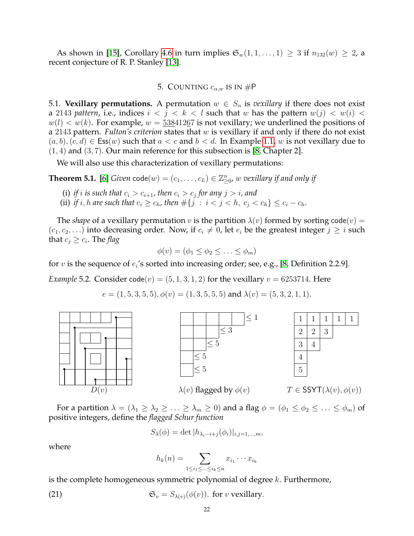As shown in [\[15\]](#page-29-1), Corollary [4.6](#page-20-2) in turn implies  $\mathfrak{S}_w(1,1,\ldots,1) \geq 3$  if  $n_{132}(w) \geq 2$ , a recent conjecture of R. P. Stanley [\[13\]](#page-29-2).

# 5. COUNTING  $c_{\alpha,w}$  is in #P

<span id="page-21-4"></span><span id="page-21-0"></span>5.1. **Vexillary permutations.** A permutation  $w \in S_n$  is *vexillary* if there does not exist a 2143 *pattern*, i.e., indices  $i < j < k < l$  such that w has the pattern  $w(j) < w(i) <$  $w(l) < w(k)$ . For example,  $w = 53841267$  is not vexillary; we underlined the positions of a 2143 pattern. *Fulton's criterion* states that w is vexillary if and only if there do not exist  $(a, b), (c, d) \in \text{Ess}(w)$  such that  $a < c$  and  $b < d$ . In Example [1.1,](#page-1-2) w is not vexillary due to  $(1, 4)$  and  $(3, 7)$ . Our main reference for this subsection is [\[8,](#page-28-2) Chapter 2].

We will also use this characterization of vexillary permutations:

<span id="page-21-3"></span>**Theorem 5.1.** [\[6\]](#page-28-7) *Given*  $\text{code}(w) = (c_1, \ldots, c_L) \in \mathbb{Z}_{\geq 0}^n$ , w vexillary if and only if

- (i) if *i* is such that  $c_i > c_{i+1}$ , then  $c_i > c_j$  for any  $j > i$ , and
- (ii) *if i*, *h* are such that  $c_i \ge c_h$ , then  $\#\{j : i < j < h, c_j < c_h\} \le c_i c_h$ .

The *shape* of a vexillary permutation v is the partition  $\lambda(v)$  formed by sorting code(v) =  $(c_1, c_2, \ldots)$  into decreasing order. Now, if  $c_i \neq 0$ , let  $e_i$  be the greatest integer  $j \geq i$  such that  $c_j \geq c_i$ . The *flag* 

$$
\phi(v) = (\phi_1 \le \phi_2 \le \ldots \le \phi_m)
$$

for  $v$  is the sequence of  $e_i$ 's sorted into increasing order; see, e.g., [\[8,](#page-28-2) Definition 2.2.9].

<span id="page-21-1"></span>*Example* 5.2*.* Consider code(v) =  $(5, 1, 3, 1, 2)$  for the vexillary  $v = 6253714$ . Here

$$
e = (1, 5, 3, 5, 5), \phi(v) = (1, 3, 5, 5, 5)
$$
 and  $\lambda(v) = (5, 3, 2, 1, 1).$ 



For a partition  $\lambda = (\lambda_1 \geq \lambda_2 \geq \ldots \geq \lambda_m \geq 0)$  and a flag  $\phi = (\phi_1 \leq \phi_2 \leq \ldots \leq \phi_m)$  of positive integers, define the *flagged Schur function*

$$
S_{\lambda}(\phi) = \det |h_{\lambda_i - i + j}(\phi_i)|_{i,j = 1,\dots,m},
$$

where

<span id="page-21-2"></span>
$$
h_k(n) = \sum_{1 \le i_1 \le \dots \le i_k \le n} x_{i_1} \cdots x_{i_k}
$$

is the complete homogeneous symmetric polynomial of degree  $k$ . Furthermore,

(21) 
$$
\mathfrak{S}_v = S_{\lambda(v)}(\phi(v)), \text{ for } v \text{ vexillary}.
$$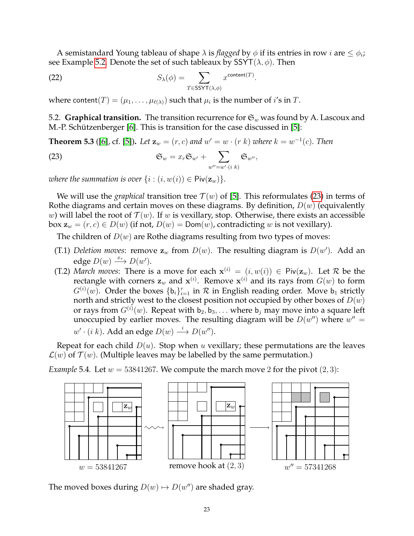A semistandard Young tableau of shape  $\lambda$  is *flagged* by  $\phi$  if its entries in row *i* are  $\leq \phi_i$ ; see Example [5.2.](#page-21-1) Denote the set of such tableaux by  $SSYT(\lambda, \phi)$ . Then

<span id="page-22-1"></span>(22) 
$$
S_{\lambda}(\phi) = \sum_{T \in \text{SSYT}(\lambda, \phi)} x^{\text{content}(T)}.
$$

where content $(T) = (\mu_1, \ldots, \mu_{\ell(\lambda)})$  such that  $\mu_i$  is the number of  $i'$ s in  $T.$ 

5.2. **Graphical transition.** The transition recurrence for  $\mathfrak{S}_w$  was found by A. Lascoux and M.-P. Schützenberger [\[6\]](#page-28-7). This is transition for the case discussed in [\[5\]](#page-28-8):

**Theorem 5.3** ([\[6\]](#page-28-7), cf. [\[5\]](#page-28-8)). Let  $z_w = (r, c)$  and  $w' = w \cdot (r \; k)$  where  $k = w^{-1}(c)$ . Then

<span id="page-22-0"></span>(23) 
$$
\mathfrak{S}_w = x_r \mathfrak{S}_{w'} + \sum_{w''=w' \cdot (i \ k)} \mathfrak{S}_{w''},
$$

*where the summation is over*  $\{i : (i, w(i)) \in \text{Piv}(\mathbf{z}_w)\}.$ 

We will use the *graphical* transition tree  $\mathcal{T}(w)$  of [\[5\]](#page-28-8). This reformulates [\(23\)](#page-22-0) in terms of Rothe diagrams and certain moves on these diagrams. By definition,  $D(w)$  (equivalently w) will label the root of  $\mathcal{T}(w)$ . If w is vexillary, stop. Otherwise, there exists an accessible box  $z_w = (r, c) \in D(w)$  (if not,  $D(w) = \text{Dom}(w)$ , contradicting w is not vexillary).

The children of  $D(w)$  are Rothe diagrams resulting from two types of moves:

- (T.1) *Deletion moves*: remove  $\mathbf{z}_w$  from  $D(w)$ . The resulting diagram is  $D(w')$ . Add an edge  $D(w) \xrightarrow{x_r} D(w')$ .
- (T.2) *March moves*: There is a move for each  $x^{(i)} = (i, w(i)) \in \text{Piv}(\mathbf{z}_w)$ . Let R be the rectangle with corners  $\mathbf{z}_w$  and  $\mathbf{x}^{(i)}$ . Remove  $\mathbf{x}^{(i)}$  and its rays from  $G(w)$  to form  $G^{(i)}(w)$ . Order the boxes  $\{ \mathsf{b}_i \}_{i=1}^r$  in  ${\mathcal{R}}$  in English reading order. Move  $\mathsf{b}_1$  strictly north and strictly west to the closest position not occupied by other boxes of  $D(w)$ or rays from  $G^{(i)}(w)$ . Repeat with  $b_2, b_3, \ldots$  where  $b_j$  may move into a square left unoccupied by earlier moves. The resulting diagram will be  $D(w'')$  where  $w'' =$  $w' \cdot (i \; k)$ . Add an edge  $D(w) \stackrel{i}{\longrightarrow} D(w'')$ .

Repeat for each child  $D(u)$ . Stop when u vexillary; these permutations are the leaves  $\mathcal{L}(w)$  of  $\mathcal{T}(w)$ . (Multiple leaves may be labelled by the same permutation.)

*Example* 5.4. Let  $w = 53841267$ . We compute the march move 2 for the pivot  $(2, 3)$ :



The moved boxes during  $D(w) \mapsto D(w'')$  are shaded gray.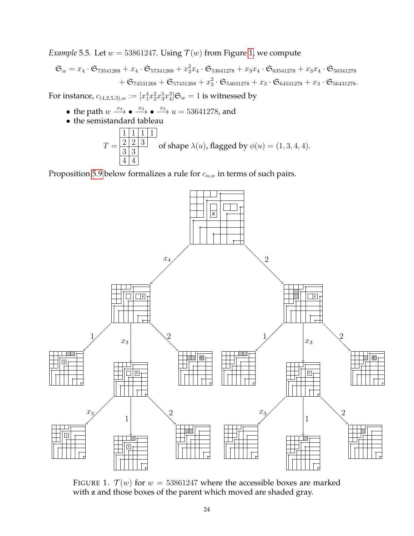*Example* 5.5*.* Let  $w = 53861247$ . Using  $\mathcal{T}(w)$  from Figure [1,](#page-23-0) we compute

$$
\mathfrak{S}_w = x_4 \cdot \mathfrak{S}_{73541268} + x_4 \cdot \mathfrak{S}_{57341268} + x_3^2 x_4 \cdot \mathfrak{S}_{53641278} + x_3 x_4 \cdot \mathfrak{S}_{63541278} + x_3 x_4 \cdot \mathfrak{S}_{56341278} + \mathfrak{S}_{74531268} + \mathfrak{S}_{57431268} + x_3^2 \cdot \mathfrak{S}_{54631278} + x_3 \cdot \mathfrak{S}_{64531278} + x_3 \cdot \mathfrak{S}_{56431278}.
$$

For instance,  $c_{(4,2,5,3),w}:=[x_1^4x_2^2x_3^5x_4^3]\mathfrak{S}_w=1$  is witnessed by

- the path  $w \xrightarrow{x_4} \bullet \xrightarrow{x_3} \bullet \xrightarrow{x_3} u = 53641278$ , and
- the semistandard tableau

$$
T = \frac{\boxed{1 \mid 1 \mid 1 \mid 1}}{\boxed{3 \mid 3}}
$$
 of shape  $\lambda(u)$ , flagged by  $\phi(u) = (1, 3, 4, 4)$ .

Proposition [5.9](#page-24-0) below formalizes a rule for  $c_{\alpha,w}$  in terms of such pairs.



<span id="page-23-0"></span>FIGURE 1.  $\mathcal{T}(w)$  for  $w = 53861247$  where the accessible boxes are marked with z and those boxes of the parent which moved are shaded gray.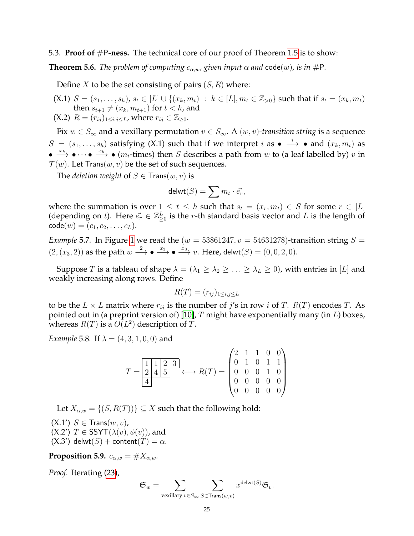# 5.3. **Proof of** #P**-ness.** The technical core of our proof of Theorem [1.5](#page-2-2) is to show:

<span id="page-24-1"></span>**Theorem 5.6.** *The problem of computing*  $c_{\alpha,w}$ , given input  $\alpha$  and code(w), is in #P.

Define X to be the set consisting of pairs  $(S, R)$  where:

- (X.1)  $S = (s_1, \ldots, s_h)$ ,  $s_t \in [L] \cup \{(x_k, m_t) : k \in [L], m_t \in \mathbb{Z}_{>0}\}\$  such that if  $s_t = (x_k, m_t)$ then  $s_{t+1} \neq (x_k, m_{t+1})$  for  $t < h$ , and
- (X.2)  $R = (r_{ij})_{1 \le i,j \le L}$ , where  $r_{ij} \in \mathbb{Z}_{\ge 0}$ .

Fix  $w \in S_\infty$  and a vexillary permutation  $v \in S_\infty$ . A  $(w, v)$ -transition string is a sequence  $S = (s_1, \ldots, s_h)$  satisfying (X.1) such that if we interpret  $i$  as  $\bullet \stackrel{i}{\longrightarrow} \bullet$  and  $(x_k, m_t)$  as  $\bullet \xrightarrow{x_k} \bullet \cdots \bullet \xrightarrow{x_k} \bullet (m_t\text{-times})$  then S describes a path from w to (a leaf labelled by) v in  $\mathcal{T}(w)$ . Let Trans $(w, v)$  be the set of such sequences.

The *deletion weight* of  $S \in Trans(w, v)$  is

$$
\mathsf{delwt}(S) = \sum m_t \cdot \vec{e_r},
$$

where the summation is over  $1 \le t \le h$  such that  $s_t = (x_t, m_t) \in S$  for some  $r \in [L]$ (depending on t). Here  $\vec{e_r} \in \mathbb{Z}_{\geq 0}^L$  is the r-th standard basis vector and L is the length of  $\text{code}(w) = (c_1, c_2, \dots, c_L).$ 

*Example* 5.7. In Figure [1](#page-23-0) we read the ( $w = 53861247$ ,  $v = 54631278$ )-transition string  $S =$  $(2,(x_3,2))$  as the path  $w \stackrel{2}{\longrightarrow} \bullet \stackrel{x_3}{\longrightarrow} \bullet \stackrel{x_3}{\longrightarrow} v$ . Here, delwt $(S) = (0,0,2,0)$ .

Suppose T is a tableau of shape  $\lambda = (\lambda_1 \geq \lambda_2 \geq \ldots \geq \lambda_L \geq 0)$ , with entries in [L] and weakly increasing along rows. Define

$$
R(T) = (r_{ij})_{1 \le i,j \le L}
$$

to be the  $L \times L$  matrix where  $r_{ij}$  is the number of j's in row i of T.  $R(T)$  encodes T. As pointed out in (a preprint version of) [\[10\]](#page-28-9), T might have exponentially many (in  $L$ ) boxes, whereas  $R(T)$  is a  $O(L^2)$  description of T.

*Example* 5.8*.* If  $\lambda = (4, 3, 1, 0, 0)$  and

$$
T = \frac{\boxed{1 \mid 1 \mid 2 \mid 3}}{4} \longleftrightarrow R(T) = \begin{pmatrix} 2 & 1 & 1 & 0 & 0 \\ 0 & 1 & 0 & 1 & 1 \\ 0 & 0 & 0 & 1 & 0 \\ 0 & 0 & 0 & 0 & 0 \\ 0 & 0 & 0 & 0 & 0 \end{pmatrix}
$$

Let  $X_{\alpha,w} = \{(S, R(T))\} \subseteq X$  such that the following hold:

 $(X.1')$   $S \in Trans(w, v)$ , (X.2')  $T \in \text{SSYT}(\lambda(v), \phi(v))$ , and  $(X.3')$  delwt $(S)$  + content $(T) = \alpha$ .

<span id="page-24-0"></span>**Proposition 5.9.**  $c_{\alpha,w} = \#X_{\alpha,w}$ .

*Proof.* Iterating [\(23\)](#page-22-0),

$$
\mathfrak{S}_w = \sum_{\text{vovillary } v \in S} \sum_{S \in \text{Tranc}(w, v)} x^{\text{delwt}(S)} \mathfrak{S}_v.
$$

vexillary  $v \in S_{\infty}$  S∈Trans $(w, v)$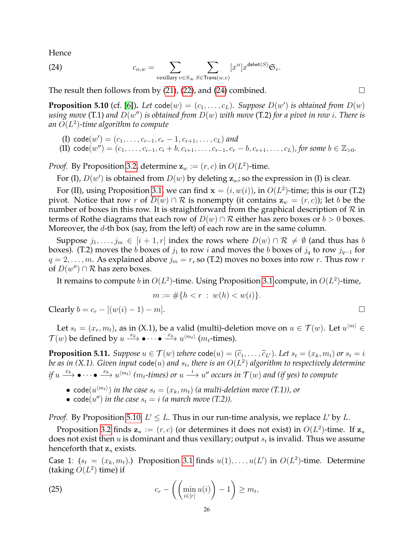Hence

<span id="page-25-0"></span>(24) 
$$
c_{\alpha,w} = \sum_{\text{vexillary } v \in S_{\infty}} \sum_{S \in \text{Trans}(w,v)} [x^{\alpha}] x^{\text{delwt}(S)} \mathfrak{S}_v.
$$

The result then follows from by  $(21)$ ,  $(22)$ , and  $(24)$  combined.

<span id="page-25-1"></span>**Proposition 5.10** (cf. [\[6\]](#page-28-7)). Let  $\text{code}(w) = (c_1, \ldots, c_L)$ . Suppose  $D(w')$  is obtained from  $D(w)$ using move (T.1) and  $D(w'')$  is obtained from  $D(w)$  with move (T.2) for a pivot in row  $i.$  There is *an* O(L 2 )*-time algorithm to compute*

- (I)  $\text{code}(w') = (c_1, \ldots, c_{r-1}, c_r 1, c_{r+1}, \ldots, c_L)$  and
- (II)  $\text{code}(w'') = (c_1, \ldots, c_{i-1}, c_i + b, c_{i+1}, \ldots, c_{r-1}, c_r b, c_{r+1}, \ldots, c_L)$ , for some  $b \in \mathbb{Z}_{>0}$ .

*Proof.* By Proposition [3.2,](#page-18-1) determine  $z_w := (r, c)$  in  $O(L^2)$ -time.

For (I),  $D(w')$  is obtained from  $D(w)$  by deleting  $z_w$ ; so the expression in (I) is clear.

For (II), using Proposition [3.1,](#page-18-0) we can find  $\mathbf{x} = (i, w(i))$ , in  $O(L^2)$ -time; this is our (T.2) pivot. Notice that row r of  $D(w) \cap \mathcal{R}$  is nonempty (it contains  $z_w = (r, c)$ ); let b be the number of boxes in this row. It is straightforward from the graphical description of  $\mathcal R$  in terms of Rothe diagrams that each row of  $D(w) \cap \mathcal{R}$  either has zero boxes or  $b > 0$  boxes. Moreover, the d-th box (say, from the left) of each row are in the same column.

Suppose  $j_1, \ldots, j_m \in [i + 1, r]$  index the rows where  $D(w) \cap \mathcal{R} \neq \emptyset$  (and thus has b boxes). (T.2) moves the b boxes of  $j_1$  to row i and moves the b boxes of  $j_q$  to row  $j_{q-1}$  for  $q = 2, \ldots, m$ . As explained above  $j_m = r$ , so (T.2) moves no boxes into row r. Thus row r of  $D(w'') \cap \mathcal{R}$  has zero boxes.

It remains to compute  $b$  in  $O(L^2)$ -time. Using Proposition [3.1](#page-18-0) compute, in  $O(L^2)$ -time,

$$
m := \# \{ h < r \; : \; w(h) < w(i) \}.
$$

Clearly  $b = c_r - [(w(i) - 1) - m]$ . □

Let  $s_t = (x_r, m_t)$ , as in (X.1), be a valid (multi)-deletion move on  $u \in \mathcal{T}(w)$ . Let  $u^{\langle m \rangle} \in$  $\mathcal{T}(w)$  be defined by  $u \xrightarrow{x_k} \bullet \cdots \bullet \xrightarrow{x_k} u^{\langle m_t \rangle}$  ( $m_t$ -times).

<span id="page-25-3"></span>**Proposition 5.11.** *Suppose*  $u \in \mathcal{T}(w)$  *where*  $\text{code}(u) = (\tilde{c}_1, \ldots, \tilde{c}_{L'})$ *. Let*  $s_t = (x_k, m_t)$  *or*  $s_t = i$ be as in (X.1). Given input  $\mathsf{code}(u)$  and  $s_t$ , there is an  $O(L^2)$  algorithm to respectively determine *if*  $u \xrightarrow{x_k} \bullet \cdots \bullet \xrightarrow{x_k} u^{\langle m_t \rangle}$  ( $m_t$ -times) or  $u \xrightarrow{i} u''$  occurs in  $\mathcal{T}(w)$  and (if yes) to compute

- $\text{code}(u^{\langle m_t \rangle})$  in the case  $s_t = (x_k, m_t)$  (a multi-deletion move (T.1)), or
- $code(u'')$  *in the case*  $s_t = i$  *(a march move (T.2)).*

*Proof.* By Proposition [5.10,](#page-25-1)  $L' \leq L$ . Thus in our run-time analysis, we replace L' by L.

Proposition [3.2](#page-18-1) finds  $z_u := (r, c)$  (or determines it does not exist) in  $O(L^2)$ -time. If  $z_u$ does not exist then  $u$  is dominant and thus vexillary; output  $s_t$  is invalid. Thus we assume henceforth that  $z_u$  exists.

Case 1:  $(s_t = (x_k, m_t)$ .) Proposition [3.1](#page-18-0) finds  $u(1), \ldots, u(L')$  in  $O(L^2)$ -time. Determine (taking  $O(L^2)$  time) if

<span id="page-25-2"></span>(25) 
$$
c_r - \left( \left( \min_{i \in [r]} u(i) \right) - 1 \right) \geq m_t,
$$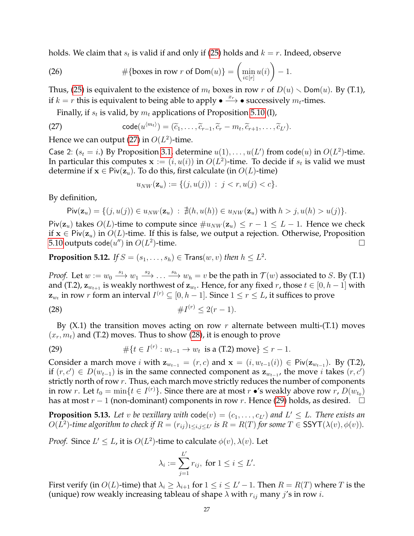holds. We claim that  $s_t$  is valid if and only if [\(25\)](#page-25-2) holds and  $k=r.$  Indeed, observe

(26) 
$$
\#\{\text{boxes in row } r \text{ of } \text{Dom}(u)\} = \left(\min_{i \in [r]} u(i)\right) - 1.
$$

Thus, [\(25\)](#page-25-2) is equivalent to the existence of  $m_t$  boxes in row r of  $D(u) \setminus Dom(u)$ . By (T.1), if  $k = r$  this is equivalent to being able to apply  $\bullet \xrightarrow{x_r} \bullet$  successively  $m_t$ -times.

Finally, if  $s_t$  is valid, by  $m_t$  applications of Proposition [5.10](#page-25-1) (I),

(27) 
$$
\operatorname{code}(u^{\langle m_t \rangle}) = (\widetilde{c}_1, \ldots, \widetilde{c}_{r-1}, \widetilde{c}_r - m_t, \widetilde{c}_{r+1}, \ldots, \widetilde{c}_{L'}).
$$

Hence we can output [\(27\)](#page-26-0) in  $O(L^2)$ -time.

Case 2:  $(s_t = i)$  By Proposition [3.1,](#page-18-0) determine  $u(1), \ldots, u(L')$  from code $(u)$  in  $O(L^2)$ -time. In particular this computes  $\mathbf{x} := (i, u(i))$  in  $O(L^2)$ -time. To decide if  $s_t$  is valid we must determine if  $x \in \text{Piv}(\mathbf{z}_u)$ . To do this, first calculate (in  $O(L)$ -time)

<span id="page-26-1"></span><span id="page-26-0"></span>
$$
u_{NW}(\mathbf{z}_u) := \{ (j, u(j)) \; : \; j < r, u(j) < c \}.
$$

By definition,

$$
\text{Piv}(\mathbf{z}_u) = \{ (j, u(j)) \in u_{NW}(\mathbf{z}_u) : \nexists (h, u(h)) \in u_{NW}(\mathbf{z}_u) \text{ with } h > j, u(h) > u(j) \}.
$$

Piv( $z_u$ ) takes  $O(L)$ -time to compute since  $\#u_{NW}(z_u) \leq r-1 \leq L-1$ . Hence we check if  $x \in \text{Piv}(z_u)$  in  $O(L)$ -time. If this is false, we output a rejection. Otherwise, Proposition  $5.10$  outputs code $(u^{\prime\prime})$  in  $O(L^2)$ )-time.  $\Box$ 

<span id="page-26-3"></span>**Proposition 5.12.** If  $S = (s_1, \ldots, s_h) \in \text{Trans}(w, v)$  then  $h \leq L^2$ .

*Proof.* Let  $w := w_0 \stackrel{s_1}{\longrightarrow} w_1 \stackrel{s_2}{\longrightarrow} \dots \stackrel{s_h}{\longrightarrow} w_h = v$  be the path in  $\mathcal{T}(w)$  associated to S. By (T.1) and (T.2),  $\mathbf{z}_{w_{t+1}}$  is weakly northwest of  $\mathbf{z}_{w_t}.$  Hence, for any fixed  $r$ , those  $t \in [0, h-1]$  with  $\mathbf{z}_{w_t}$  in row  $r$  form an interval  $I^{(r)}\subseteq [0,h-1].$  Since  $1\leq r\leq L$ , it suffices to prove

(28) 
$$
\#I^{(r)} \leq 2(r-1).
$$

By  $(X.1)$  the transition moves acting on row r alternate between multi-(T.1) moves  $(x_r, m_t)$  and (T.2) moves. Thus to show [\(28\)](#page-26-1), it is enough to prove

<span id="page-26-2"></span>(29) 
$$
\#\{t \in I^{(r)} : w_{t-1} \to w_t \text{ is a (T.2) move}\} \leq r-1.
$$

Consider a march move *i* with  $\mathbf{z}_{w_{t-1}} = (r, c)$  and  $\mathbf{x} = (i, w_{t-1}(i)) \in \text{Piv}(\mathbf{z}_{w_{t-1}})$ . By (T.2), if  $(r, c') \in D(w_{t-1})$  is in the same connected component as  $z_{w_{t-1}}$ , the move *i* takes  $(r, c')$ strictly north of row  $r$ . Thus, each march move strictly reduces the number of components in row r. Let  $t_0 = \min\{t \in I^{(r)}\}$ . Since there are at most  $r \bullet 's$  weakly above row  $r$ ,  $D(w_{t_0})$ has at most  $r - 1$  (non-dominant) components in row r. Hence [\(29\)](#page-26-2) holds, as desired.  $\Box$ 

<span id="page-26-4"></span>**Proposition 5.13.** Let v be vexillary with  $code(v) = (c_1, \ldots, c_{L'})$  and  $L' \leq L$ . There exists an  $O(L^2)$ -time algorithm to check if  $R = (r_{ij})_{1 \le i,j \le L'}$  is  $R = R(T)$  for some  $T \in \text{SSYT}(\lambda(v), \phi(v))$ .

*Proof.* Since  $L' \leq L$ , it is  $O(L^2)$ -time to calculate  $\phi(v)$ ,  $\lambda(v)$ . Let

$$
\lambda_i := \sum_{j=1}^{L'} r_{ij}, \text{ for } 1 \le i \le L'.
$$

First verify (in  $O(L)$ -time) that  $\lambda_i \geq \lambda_{i+1}$  for  $1 \leq i \leq L'-1$ . Then  $R = R(T)$  where T is the (unique) row weakly increasing tableau of shape  $\lambda$  with  $r_{ij}$  many  $j$ 's in row i.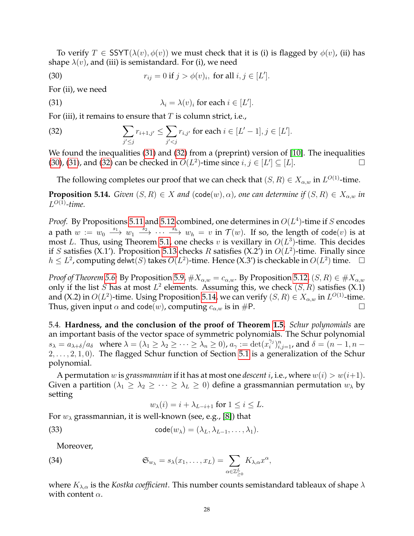To verify  $T \in \text{SSYT}(\lambda(v), \phi(v))$  we must check that it is (i) is flagged by  $\phi(v)$ , (ii) has shape  $\lambda(v)$ , and (iii) is semistandard. For (i), we need

<span id="page-27-2"></span>(30) 
$$
r_{ij} = 0
$$
 if  $j > \phi(v)_i$ , for all  $i, j \in [L']$ .

For (ii), we need

<span id="page-27-0"></span>(31) 
$$
\lambda_i = \lambda(v)_i \text{ for each } i \in [L'].
$$

For (iii), it remains to ensure that  $T$  is column strict, i.e.,

<span id="page-27-1"></span>(32) 
$$
\sum_{j' \leq j} r_{i+1,j'} \leq \sum_{j' < j} r_{i,j'} \text{ for each } i \in [L'-1], j \in [L'].
$$

We found the inequalities [\(31\)](#page-27-0) and [\(32\)](#page-27-1) from a (preprint) version of [\[10\]](#page-28-9). The inequalities [\(30\)](#page-27-2), [\(31\)](#page-27-0), and [\(32\)](#page-27-1) can be checked in  $O(L^2)$ -time since  $i, j \in [L'] \subseteq [L]$ .

The following completes our proof that we can check that  $(S, R) \in X_{\alpha,w}$  in  $L^{O(1)}$ -time.

<span id="page-27-3"></span>**Proposition 5.14.** *Given*  $(S, R) \in X$  *and*  $(\text{code}(w), \alpha)$ *, one can determine if*  $(S, R) \in X_{\alpha,w}$  *in*  $L^{O(1)}$ -time.

*Proof.* By Propositions [5.11](#page-25-3) and [5.12](#page-26-3) combined, one determines in  $O(L^4)$ -time if S encodes a path  $w := w_0 \stackrel{s_1}{\longrightarrow} w_1 \stackrel{s_2}{\longrightarrow} \cdots \stackrel{s_h}{\longrightarrow} w_h = v$  in  $\mathcal{T}(w)$ . If so, the length of code $(v)$  is at most L. Thus, using Theorem [5.1,](#page-21-3) one checks v is vexillary in  $O(L^3)$ -time. This decides if S satisfies (X.1'). Proposition [5.13](#page-26-4) checks R satisfies (X.2') in  $O(L^2)$ -time. Finally since  $h \leq L^2$ , computing delwt(S) takes  $O(L^2)$ -time. Hence (X.3') is checkable in  $O(L^2)$  time. □

*Proof of Theorem [5.6:](#page-24-1)* By Proposition [5.9,](#page-24-0)  $\#X_{\alpha,w} = c_{\alpha,w}$ . By Proposition [5.12,](#page-26-3)  $(S, R) \in \#X_{\alpha,w}$ only if the list S has at most  $L^2$  elements. Assuming this, we check  $(S, R)$  satisfies  $(X, 1)$ and (X.2) in  $O(L^2)$ -time. Using Proposition [5.14,](#page-27-3) we can verify  $(S, R) \in X_{\alpha,w}$  in  $L^{O(1)}$ -time. Thus, given input  $\alpha$  and code(w), computing  $c_{\alpha,w}$  is in #P.

5.4. **Hardness, and the conclusion of the proof of Theorem [1.5.](#page-2-2)** *Schur polynomials* are an important basis of the vector space of symmetric polynomials. The Schur polynomial  $s_{\lambda} = a_{\lambda+\delta}/a_{\delta}$  where  $\lambda = (\lambda_1 \geq \lambda_2 \geq \cdots \geq \lambda_n \geq 0)$ ,  $a_{\gamma} := \det(x_i^{\gamma_i})$  $\binom{\gamma_j}{i} _{i,j=1}^n$ , and  $\delta=(n-1,n-1)$  $2, \ldots, 2, 1, 0$ . The flagged Schur function of Section [5.1](#page-21-4) is a generalization of the Schur polynomial.

A permutation w is *grassmannian* if it has at most one *descent i*, i.e., where  $w(i) > w(i+1)$ . Given a partition ( $\lambda_1 \geq \lambda_2 \geq \cdots \geq \lambda_L \geq 0$ ) define a grassmannian permutation  $w_{\lambda}$  by setting

<span id="page-27-5"></span><span id="page-27-4"></span>
$$
w_{\lambda}(i) = i + \lambda_{L-i+1}
$$
 for  $1 \leq i \leq L$ .

For  $w_{\lambda}$  grassmannian, it is well-known (see, e.g., [\[8\]](#page-28-2)) that

(33) 
$$
\operatorname{code}(w_{\lambda}) = (\lambda_L, \lambda_{L-1}, \dots, \lambda_1).
$$

Moreover,

(34) 
$$
\mathfrak{S}_{w_{\lambda}} = s_{\lambda}(x_1, \dots, x_L) = \sum_{\alpha \in \mathbb{Z}_{\geq 0}^L} K_{\lambda, \alpha} x^{\alpha},
$$

where  $K_{\lambda,\alpha}$  is the *Kostka coefficient*. This number counts semistandard tableaux of shape  $\lambda$ with content  $\alpha$ .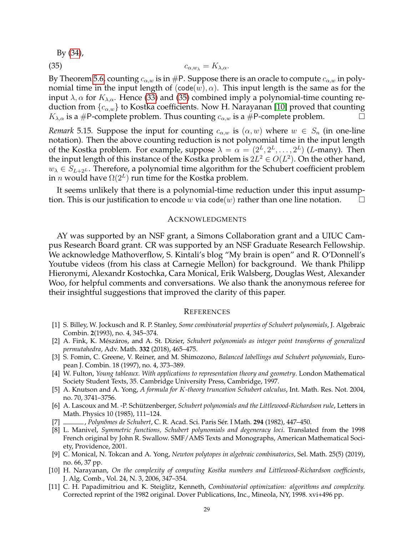<span id="page-28-11"></span>By [\(34\)](#page-27-4),

$$
c_{\alpha,w_{\lambda}} = K_{\lambda,\alpha}.
$$

By Theorem [5.6,](#page-24-1) counting  $c_{\alpha,w}$  is in #P. Suppose there is an oracle to compute  $c_{\alpha,w}$  in polynomial time in the input length of  $(code(w), \alpha)$ . This input length is the same as for the input  $\lambda$ ,  $\alpha$  for  $K_{\lambda,\alpha}$ . Hence [\(33\)](#page-27-5) and [\(35\)](#page-28-11) combined imply a polynomial-time counting reduction from  $\{c_{\alpha,w}\}$  to Kostka coefficients. Now H. Narayanan [\[10\]](#page-28-9) proved that counting  $K_{\lambda,\alpha}$  is a #P-complete problem. Thus counting  $c_{\alpha,w}$  is a #P-complete problem.  $\Box$ 

*Remark* 5.15*.* Suppose the input for counting  $c_{\alpha,w}$  is  $(\alpha, w)$  where  $w \in S_n$  (in one-line notation). Then the above counting reduction is not polynomial time in the input length of the Kostka problem. For example, suppose  $\lambda = \alpha = (2^L, 2^L, \dots, 2^L)$  (L-many). Then the input length of this instance of the Kostka problem is  $2L^2 \in O(L^2)$ . On the other hand,  $w_{\lambda} \in S_{L+2^L}$ . Therefore, a polynomial time algorithm for the Schubert coefficient problem in *n* would have  $\Omega(2^L)$  run time for the Kostka problem.

It seems unlikely that there is a polynomial-time reduction under this input assumption. This is our justification to encode w via code(w) rather than one line notation.  $\square$ 

#### ACKNOWLEDGMENTS

AY was supported by an NSF grant, a Simons Collaboration grant and a UIUC Campus Research Board grant. CR was supported by an NSF Graduate Research Fellowship. We acknowledge Mathoverflow, S. Kintali's blog "My brain is open" and R. O'Donnell's Youtube videos (from his class at Carnegie Mellon) for background. We thank Philipp Hieronymi, Alexandr Kostochka, Cara Monical, Erik Walsberg, Douglas West, Alexander Woo, for helpful comments and conversations. We also thank the anonymous referee for their insightful suggestions that improved the clarity of this paper.

#### **REFERENCES**

- <span id="page-28-6"></span>[1] S. Billey, W. Jockusch and R. P. Stanley, *Some combinatorial properties of Schubert polynomials*, J. Algebraic Combin. **2**(1993), no. 4, 345–374.
- <span id="page-28-5"></span>[2] A. Fink, K. Mészáros, and A. St. Dizier, *Schubert polynomials as integer point transforms of generalized permutahedra*, Adv. Math. **332** (2018), 465–475.
- <span id="page-28-3"></span>[3] S. Fomin, C. Greene, V. Reiner, and M. Shimozono, *Balanced labellings and Schubert polynomials*, European J. Combin. 18 (1997), no. 4, 373–389.
- <span id="page-28-1"></span>[4] W. Fulton, *Young tableaux. With applications to representation theory and geometry*. London Mathematical Society Student Texts, 35. Cambridge University Press, Cambridge, 1997.
- <span id="page-28-8"></span>[5] A. Knutson and A. Yong, *A formula for* K*-theory truncation Schubert calculus*, Int. Math. Res. Not. 2004, no. 70, 3741–3756.
- <span id="page-28-7"></span>[6] A. Lascoux and M. -P. Schützenberger, Schubert polynomials and the Littlewood-Richardson rule, Letters in Math. Physics 10 (1985), 111–124.
- <span id="page-28-0"></span>[7] , *Polynˆomes de Schubert*, C. R. Acad. Sci. Paris Ser. I Math. ´ **294** (1982), 447–450.
- <span id="page-28-2"></span>[8] L. Manivel, *Symmetric functions, Schubert polynomials and degeneracy loci*. Translated from the 1998 French original by John R. Swallow. SMF/AMS Texts and Monographs, American Mathematical Society, Providence, 2001.
- <span id="page-28-4"></span>[9] C. Monical, N. Tokcan and A. Yong, *Newton polytopes in algebraic combinatorics*, Sel. Math. 25(5) (2019), no. 66, 37 pp.
- <span id="page-28-9"></span>[10] H. Narayanan, *On the complexity of computing Kostka numbers and Littlewood-Richardson coefficients*, J. Alg. Comb., Vol. 24, N. 3, 2006, 347–354.
- <span id="page-28-10"></span>[11] C. H. Papadimitriou and K. Steiglitz, Kenneth, *Combinatorial optimization: algorithms and complexity.* Corrected reprint of the 1982 original. Dover Publications, Inc., Mineola, NY, 1998. xvi+496 pp.